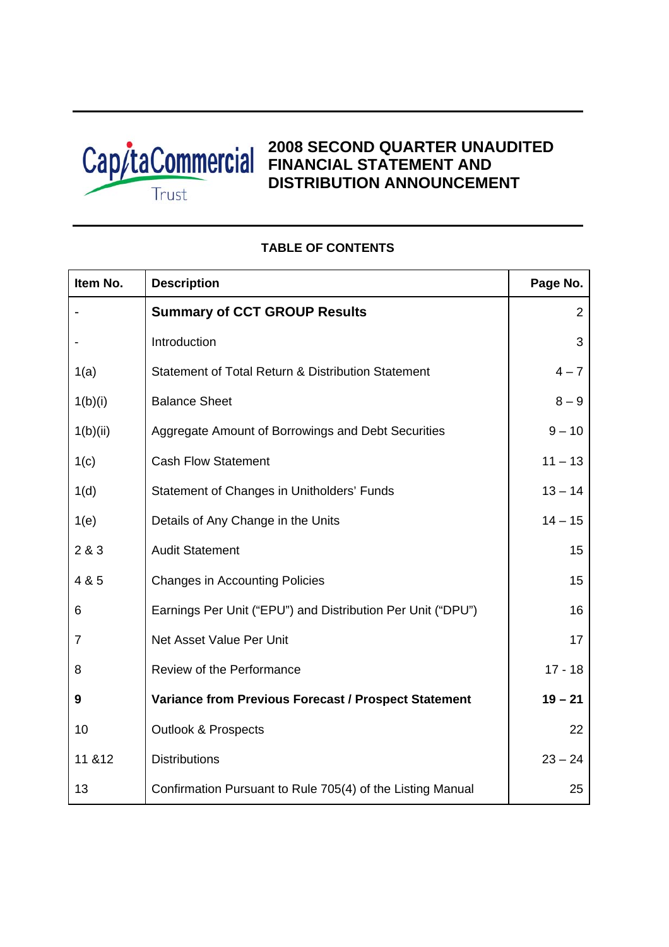

# **2008 SECOND QUARTER UNAUDITED**  Cap/taCommercial **EINANCIAL STATEMENT AND DISTRIBUTION ANNOUNCEMENT**

# **Item No.** Description **Page No.** Page No. - **Summary of CCT GROUP Results** 2 Introduction 3 1(a) Statement of Total Return & Distribution Statement 4 – 7  $1(b)(i)$  Balance Sheet 8 – 9 1(b)(ii) Aggregate Amount of Borrowings and Debt Securities 9 – 10 1(c) Cash Flow Statement 11 – 13 1(d) Statement of Changes in Unitholders' Funds 13 – 14 1(e) Details of Any Change in the Units 14 – 15 2 & 3 Audit Statement 15 4 & 5 Changes in Accounting Policies 15 6 Earnings Per Unit ("EPU") and Distribution Per Unit ("DPU") 16 7 Net Asset Value Per Unit 17 and 17 and 17 and 17 and 17 and 17 and 17 and 17 and 17 and 17 and 17 and 17 and 17 and 17 and 17 and 17 and 17 and 17 and 17 and 17 and 17 and 17 and 17 and 17 and 17 and 17 and 17 and 17 and 8 Review of the Performance 17 - 18 **9 Variance from Previous Forecast / Prospect Statement 19 – 21** 10 Outlook & Prospects 22 11 &12 Distributions 23 – 24 13 **Confirmation Pursuant to Rule 705(4) of the Listing Manual** 25

# **TABLE OF CONTENTS**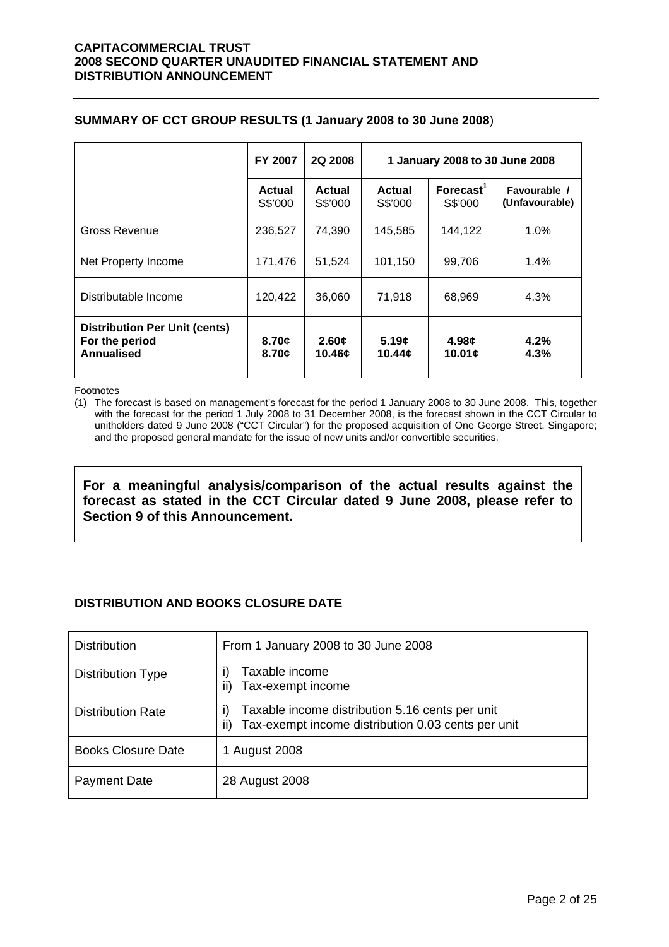|  |  | SUMMARY OF CCT GROUP RESULTS (1 January 2008 to 30 June 2008) |
|--|--|---------------------------------------------------------------|
|--|--|---------------------------------------------------------------|

|                                                                      | <b>FY 2007</b>    | <b>2Q 2008</b>    | 1 January 2008 to 30 June 2008 |                                  |                                |  |  |
|----------------------------------------------------------------------|-------------------|-------------------|--------------------------------|----------------------------------|--------------------------------|--|--|
|                                                                      | Actual<br>S\$'000 | Actual<br>S\$'000 | Actual<br>S\$'000              | Forecast <sup>1</sup><br>S\$'000 | Favourable /<br>(Unfavourable) |  |  |
| Gross Revenue                                                        | 236,527           | 74,390            | 145,585                        | 144.122                          | 1.0%                           |  |  |
| Net Property Income                                                  | 171,476           | 51,524            | 101,150                        | 99,706                           | 1.4%                           |  |  |
| Distributable Income                                                 | 120,422           | 36,060            | 71,918                         | 68,969                           | 4.3%                           |  |  |
| <b>Distribution Per Unit (cents)</b><br>For the period<br>Annualised | 8.70c<br>8.70c    | 2.60c<br>10.46¢   | 5.19c<br>10.44c                | 4.98c<br>10.01c                  | 4.2%<br>4.3%                   |  |  |

Footnotes

(1) The forecast is based on management's forecast for the period 1 January 2008 to 30 June 2008. This, together with the forecast for the period 1 July 2008 to 31 December 2008, is the forecast shown in the CCT Circular to unitholders dated 9 June 2008 ("CCT Circular") for the proposed acquisition of One George Street, Singapore; and the proposed general mandate for the issue of new units and/or convertible securities.

**For a meaningful analysis/comparison of the actual results against the forecast as stated in the CCT Circular dated 9 June 2008, please refer to Section 9 of this Announcement.** 

# **DISTRIBUTION AND BOOKS CLOSURE DATE**

| <b>Distribution</b>       | From 1 January 2008 to 30 June 2008                                                                                     |
|---------------------------|-------------------------------------------------------------------------------------------------------------------------|
| Distribution Type         | Taxable income<br>ii)<br>Tax-exempt income                                                                              |
| <b>Distribution Rate</b>  | Taxable income distribution 5.16 cents per unit<br>$\vert$<br>Tax-exempt income distribution 0.03 cents per unit<br>ii) |
| <b>Books Closure Date</b> | 1 August 2008                                                                                                           |
| <b>Payment Date</b>       | 28 August 2008                                                                                                          |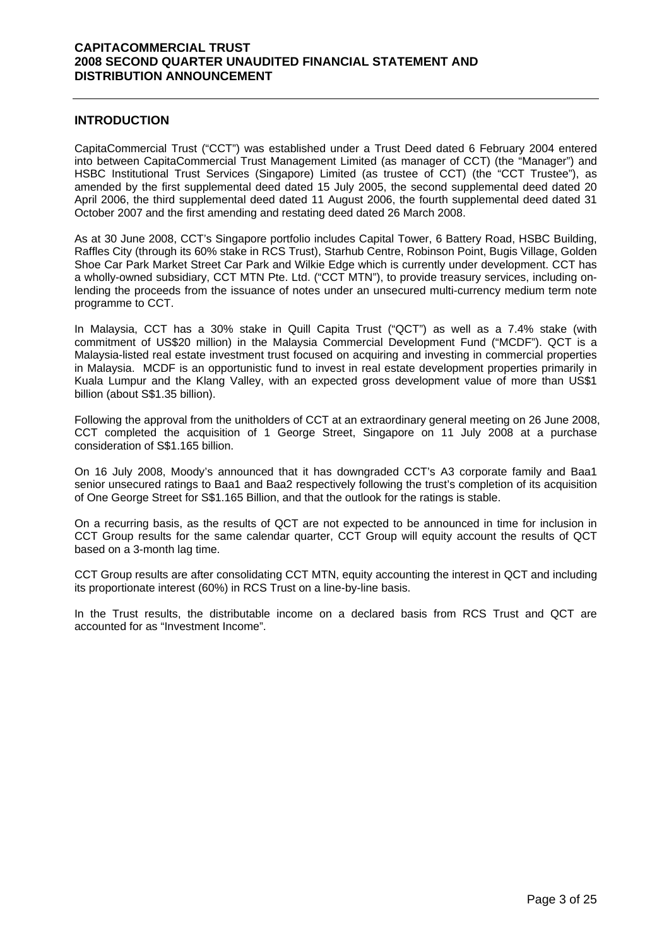#### **INTRODUCTION**

CapitaCommercial Trust ("CCT") was established under a Trust Deed dated 6 February 2004 entered into between CapitaCommercial Trust Management Limited (as manager of CCT) (the "Manager") and HSBC Institutional Trust Services (Singapore) Limited (as trustee of CCT) (the "CCT Trustee"), as amended by the first supplemental deed dated 15 July 2005, the second supplemental deed dated 20 April 2006, the third supplemental deed dated 11 August 2006, the fourth supplemental deed dated 31 October 2007 and the first amending and restating deed dated 26 March 2008.

As at 30 June 2008, CCT's Singapore portfolio includes Capital Tower, 6 Battery Road, HSBC Building, Raffles City (through its 60% stake in RCS Trust), Starhub Centre, Robinson Point, Bugis Village, Golden Shoe Car Park Market Street Car Park and Wilkie Edge which is currently under development. CCT has a wholly-owned subsidiary, CCT MTN Pte. Ltd. ("CCT MTN"), to provide treasury services, including onlending the proceeds from the issuance of notes under an unsecured multi-currency medium term note programme to CCT.

In Malaysia, CCT has a 30% stake in Quill Capita Trust ("QCT") as well as a 7.4% stake (with commitment of US\$20 million) in the Malaysia Commercial Development Fund ("MCDF"). QCT is a Malaysia-listed real estate investment trust focused on acquiring and investing in commercial properties in Malaysia. MCDF is an opportunistic fund to invest in real estate development properties primarily in Kuala Lumpur and the Klang Valley, with an expected gross development value of more than US\$1 billion (about S\$1.35 billion).

Following the approval from the unitholders of CCT at an extraordinary general meeting on 26 June 2008, CCT completed the acquisition of 1 George Street, Singapore on 11 July 2008 at a purchase consideration of S\$1.165 billion.

On 16 July 2008, Moody's announced that it has downgraded CCT's A3 corporate family and Baa1 senior unsecured ratings to Baa1 and Baa2 respectively following the trust's completion of its acquisition of One George Street for S\$1.165 Billion, and that the outlook for the ratings is stable.

On a recurring basis, as the results of QCT are not expected to be announced in time for inclusion in CCT Group results for the same calendar quarter, CCT Group will equity account the results of QCT based on a 3-month lag time.

CCT Group results are after consolidating CCT MTN, equity accounting the interest in QCT and including its proportionate interest (60%) in RCS Trust on a line-by-line basis.

In the Trust results, the distributable income on a declared basis from RCS Trust and QCT are accounted for as "Investment Income".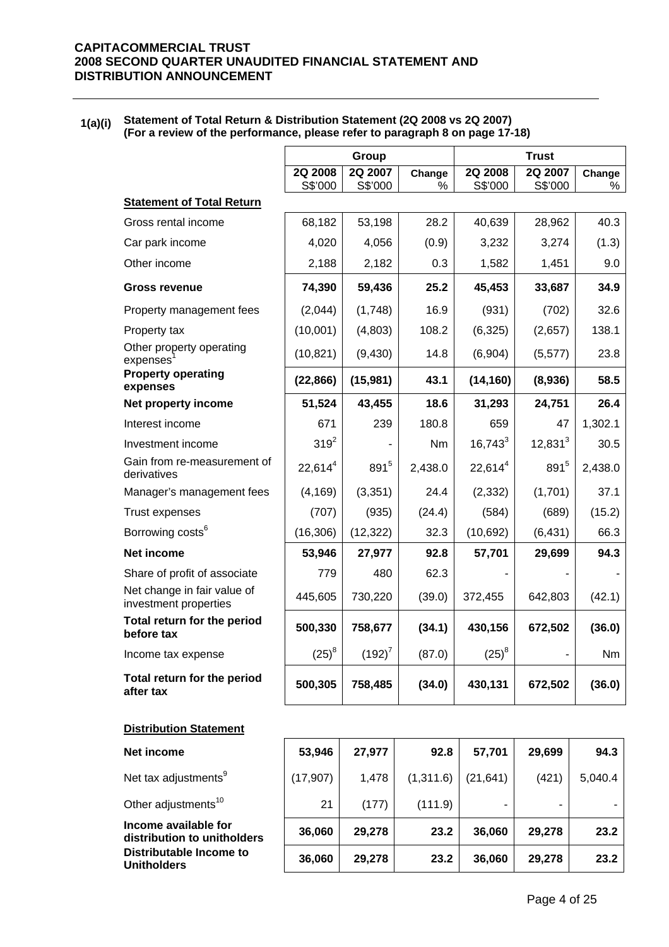#### **1(a)(i) Statement of Total Return & Distribution Statement (2Q 2008 vs 2Q 2007) (For a review of the performance, please refer to paragraph 8 on page 17-18)**

|                                                      |                    | Group              |             | <b>Trust</b>       |                    |         |  |
|------------------------------------------------------|--------------------|--------------------|-------------|--------------------|--------------------|---------|--|
|                                                      | 2Q 2008<br>S\$'000 | 2Q 2007<br>S\$'000 | Change<br>% | 2Q 2008<br>S\$'000 | 2Q 2007<br>S\$'000 | Change  |  |
| <b>Statement of Total Return</b>                     |                    |                    |             |                    |                    |         |  |
| Gross rental income                                  | 68,182             | 53,198             | 28.2        | 40,639             | 28,962             | 40.3    |  |
| Car park income                                      | 4,020              | 4,056              | (0.9)       | 3,232              | 3,274              | (1.3)   |  |
| Other income                                         | 2,188              | 2,182              | 0.3         | 1,582              | 1,451              | 9.0     |  |
| <b>Gross revenue</b>                                 | 74,390             | 59,436             | 25.2        | 45,453             | 33,687             | 34.9    |  |
| Property management fees                             | (2,044)            | (1,748)            | 16.9        | (931)              | (702)              | 32.6    |  |
| Property tax                                         | (10,001)           | (4,803)            | 108.2       | (6, 325)           | (2,657)            | 138.1   |  |
| Other property operating<br>expenses                 | (10, 821)          | (9,430)            | 14.8        | (6,904)            | (5, 577)           | 23.8    |  |
| <b>Property operating</b><br>expenses                | (22, 866)          | (15,981)           | 43.1        | (14, 160)          | (8,936)            | 58.5    |  |
| Net property income                                  | 51,524             | 43,455             | 18.6        | 31,293             | 24,751             | 26.4    |  |
| Interest income                                      | 671                | 239                | 180.8       | 659                | 47                 | 1,302.1 |  |
| Investment income                                    | $319^{2}$          |                    | Nm          | $16,743^3$         | $12,831^3$         | 30.5    |  |
| Gain from re-measurement of<br>derivatives           | $22,614^4$         | 8915               | 2,438.0     | $22,614^4$         | 8915               | 2,438.0 |  |
| Manager's management fees                            | (4, 169)           | (3, 351)           | 24.4        | (2, 332)           | (1,701)            | 37.1    |  |
| <b>Trust expenses</b>                                | (707)              | (935)              | (24.4)      | (584)              | (689)              | (15.2)  |  |
| Borrowing costs <sup>6</sup>                         | (16, 306)          | (12, 322)          | 32.3        | (10, 692)          | (6, 431)           | 66.3    |  |
| Net income                                           | 53,946             | 27,977             | 92.8        | 57,701             | 29,699             | 94.3    |  |
| Share of profit of associate                         | 779                | 480                | 62.3        |                    |                    |         |  |
| Net change in fair value of<br>investment properties | 445,605            | 730,220            | (39.0)      | 372,455            | 642,803            | (42.1)  |  |
| Total return for the period<br>before tax            | 500,330            | 758,677            | (34.1)      | 430,156            | 672,502            | (36.0)  |  |
| Income tax expense                                   | $(25)^{8}$         | $(192)^7$          | (87.0)      | $(25)^8$           |                    | Nm      |  |
| Total return for the period                          |                    | 758,485            | (34.0)      | 430,131            | 672,502            | (36.0)  |  |

| <b>Net income</b>                                   | 53,946    | 27,977 | 92.8      | 57,701    | 29,699 | 94.3    |
|-----------------------------------------------------|-----------|--------|-----------|-----------|--------|---------|
| Net tax adjustments <sup>9</sup>                    | (17, 907) | 1,478  | (1,311.6) | (21, 641) | (421)  | 5,040.4 |
| Other adjustments <sup>10</sup>                     | 21        | (177)  | (111.9)   |           |        |         |
| Income available for<br>distribution to unitholders | 36,060    | 29,278 | 23.2      | 36,060    | 29,278 | 23.2    |
| Distributable Income to<br><b>Unitholders</b>       | 36,060    | 29,278 | 23.2      | 36,060    | 29,278 | 23.2    |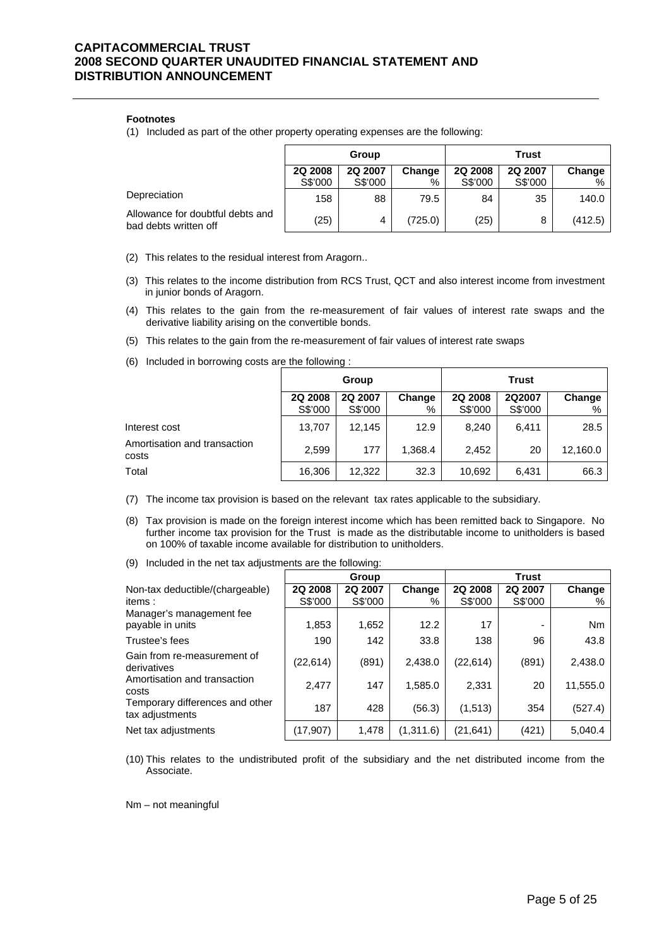#### **Footnotes**

(1) Included as part of the other property operating expenses are the following:

|                                                           | Group   |         |         | <b>Trust</b> |                |         |
|-----------------------------------------------------------|---------|---------|---------|--------------|----------------|---------|
|                                                           | 2Q 2008 | 2Q 2007 | Change  | 2Q 2008      | <b>2Q 2007</b> | Change  |
|                                                           | S\$'000 | S\$'000 | %       | S\$'000      | S\$'000        | %       |
| Depreciation                                              | 158     | 88      | 79.5    | 84           | 35             | 140.0   |
| Allowance for doubtful debts and<br>bad debts written off | (25)    | 4       | (725.0) | (25)         | 8              | (412.5) |

(2) This relates to the residual interest from Aragorn..

- (3) This relates to the income distribution from RCS Trust, QCT and also interest income from investment in junior bonds of Aragorn.
- (4) This relates to the gain from the re-measurement of fair values of interest rate swaps and the derivative liability arising on the convertible bonds.
- (5) This relates to the gain from the re-measurement of fair values of interest rate swaps
- (6) Included in borrowing costs are the following :

|                                       |                    | Group              |             | <b>Trust</b>       |                   |             |  |
|---------------------------------------|--------------------|--------------------|-------------|--------------------|-------------------|-------------|--|
|                                       | 2Q 2008<br>S\$'000 | 2Q 2007<br>S\$'000 | Change<br>% | 2Q 2008<br>S\$'000 | 2Q2007<br>S\$'000 | Change<br>% |  |
| Interest cost                         | 13,707             | 12,145             | 12.9        | 8.240              | 6.411             | 28.5        |  |
| Amortisation and transaction<br>costs | 2,599              | 177                | 1,368.4     | 2.452              | 20                | 12,160.0    |  |
| Total                                 | 16,306             | 12,322             | 32.3        | 10,692             | 6.431             | 66.3        |  |

(7) The income tax provision is based on the relevant tax rates applicable to the subsidiary.

- (8) Tax provision is made on the foreign interest income which has been remitted back to Singapore. No further income tax provision for the Trust is made as the distributable income to unitholders is based on 100% of taxable income available for distribution to unitholders.
- (9) Included in the net tax adjustments are the following:

|                                                    |                | Group   |           | <b>Trust</b>   |         |          |  |
|----------------------------------------------------|----------------|---------|-----------|----------------|---------|----------|--|
| Non-tax deductible/(chargeable)                    | <b>2Q 2008</b> | 2Q 2007 | Change    | <b>2Q 2008</b> | 2Q 2007 | Change   |  |
| items:                                             | S\$'000        | S\$'000 | %         | S\$'000        | S\$'000 | %        |  |
| Manager's management fee                           |                |         |           |                |         |          |  |
| payable in units                                   | 1,853          | 1,652   | 12.2      | 17             | -       | Nm       |  |
| Trustee's fees                                     | 190            | 142     | 33.8      | 138            | 96      | 43.8     |  |
| Gain from re-measurement of<br>derivatives         | (22, 614)      | (891)   | 2,438.0   | (22, 614)      | (891)   | 2,438.0  |  |
| Amortisation and transaction<br>costs              | 2,477          | 147     | 1,585.0   | 2,331          | 20      | 11,555.0 |  |
| Temporary differences and other<br>tax adjustments | 187            | 428     | (56.3)    | (1, 513)       | 354     | (527.4)  |  |
| Net tax adjustments                                | (17,907)       | 1,478   | (1,311.6) | (21, 641)      | (421)   | 5,040.4  |  |

(10) This relates to the undistributed profit of the subsidiary and the net distributed income from the Associate.

Nm – not meaningful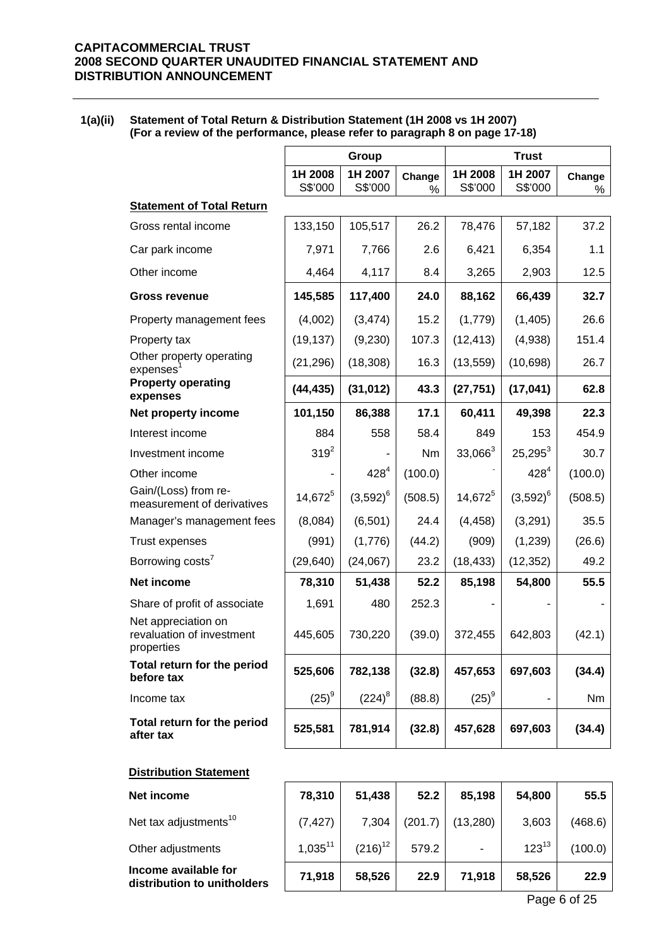**1(a)(ii) Statement of Total Return & Distribution Statement (1H 2008 vs 1H 2007) (For a review of the performance, please refer to paragraph 8 on page 17-18)** 

|                                                                | Group               |                    |             | <b>Trust</b>       |                    |             |  |
|----------------------------------------------------------------|---------------------|--------------------|-------------|--------------------|--------------------|-------------|--|
|                                                                | 1H 2008<br>S\$'000  | 1H 2007<br>S\$'000 | Change<br>% | 1H 2008<br>S\$'000 | 1H 2007<br>S\$'000 | Change<br>% |  |
| <b>Statement of Total Return</b>                               |                     |                    |             |                    |                    |             |  |
| Gross rental income                                            | 133,150             | 105,517            | 26.2        | 78,476             | 57,182             | 37.2        |  |
| Car park income                                                | 7,971               | 7,766              | 2.6         | 6,421              | 6,354              | 1.1         |  |
| Other income                                                   | 4,464               | 4,117              | 8.4         | 3,265              | 2,903              | 12.5        |  |
| <b>Gross revenue</b>                                           | 145,585             | 117,400            | 24.0        | 88,162             | 66,439             | 32.7        |  |
| Property management fees                                       | (4,002)             | (3, 474)           | 15.2        | (1,779)            | (1,405)            | 26.6        |  |
| Property tax                                                   | (19, 137)           | (9,230)            | 107.3       | (12, 413)          | (4,938)            | 151.4       |  |
| Other property operating<br>expenses                           | (21, 296)           | (18, 308)          | 16.3        | (13, 559)          | (10, 698)          | 26.7        |  |
| <b>Property operating</b><br>expenses                          | (44, 435)           | (31, 012)          | 43.3        | (27, 751)          | (17, 041)          | 62.8        |  |
| Net property income                                            | 101,150             | 86,388             | 17.1        | 60,411             | 49,398             | 22.3        |  |
| Interest income                                                | 884                 | 558                | 58.4        | 849                | 153                | 454.9       |  |
| Investment income                                              | $319^{2}$           |                    | Nm          | $33,066^3$         | $25,295^3$         | 30.7        |  |
| Other income                                                   |                     | $428^{4}$          | (100.0)     |                    | $428^{4}$          | (100.0)     |  |
| Gain/(Loss) from re-<br>measurement of derivatives             | 14,672 <sup>5</sup> | $(3,592)^6$        | (508.5)     | $14,672^5$         | $(3,592)^6$        | (508.5)     |  |
| Manager's management fees                                      | (8,084)             | (6, 501)           | 24.4        | (4, 458)           | (3,291)            | 35.5        |  |
| <b>Trust expenses</b>                                          | (991)               | (1,776)            | (44.2)      | (909)              | (1,239)            | (26.6)      |  |
| Borrowing costs <sup>7</sup>                                   | (29, 640)           | (24,067)           | 23.2        | (18, 433)          | (12, 352)          | 49.2        |  |
| Net income                                                     | 78,310              | 51,438             | 52.2        | 85,198             | 54,800             | 55.5        |  |
| Share of profit of associate                                   | 1,691               | 480                | 252.3       |                    |                    |             |  |
| Net appreciation on<br>revaluation of investment<br>properties | 445,605             | 730,220            | (39.0)      | 372,455            | 642,803            | (42.1)      |  |
| Total return for the period<br>before tax                      | 525,606             | 782,138            | (32.8)      | 457,653            | 697,603            | (34.4)      |  |
| Income tax                                                     | $(25)^{9}$          | $(224)^8$          | (88.8)      | $(25)^{9}$         |                    | Nm          |  |
| Total return for the period<br>after tax                       | 525,581             | 781,914            | (32.8)      | 457,628            | 697,603            | (34.4)      |  |
| <b>Distribution Statement</b>                                  |                     |                    |             |                    |                    |             |  |
| Net income                                                     | 78,310              | 51,438             | 52.2        | 85,198             | 54,800             | 55.5        |  |
| Net tax adjustments <sup>10</sup>                              | (7, 427)            | 7,304              | (201.7)     | (13, 280)          | 3,603              | (468.6)     |  |
| Other adjustments                                              | $1,035^{11}$        | $(216)^{12}$       | 579.2       |                    | $123^{13}$         | (100.0)     |  |

**Income available for distribution to unitholders**  71,918 58,526 22.9 71,918 58,526 22.9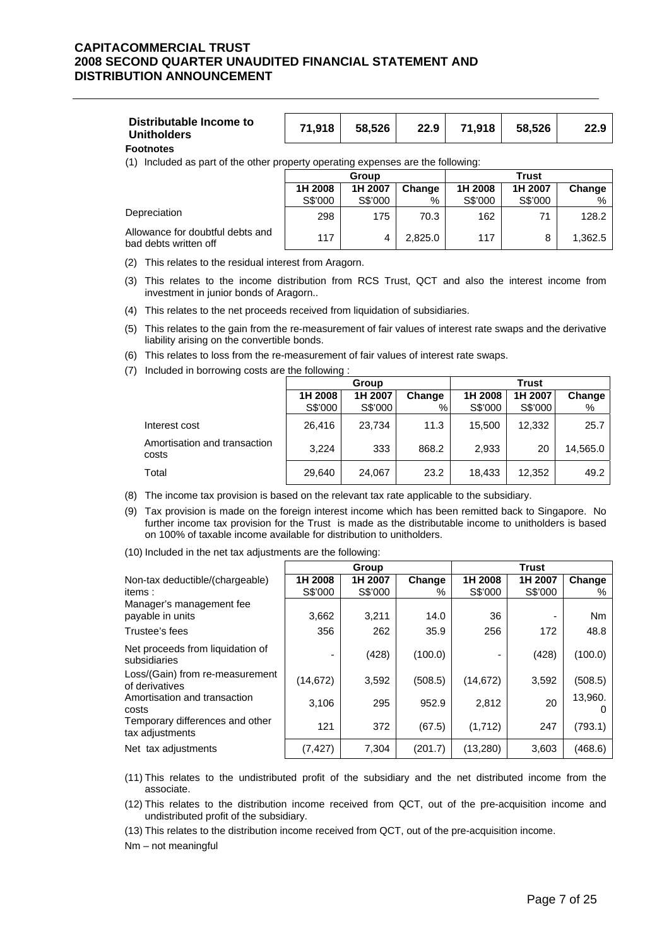|--|

**Footnotes**

(1) Included as part of the other property operating expenses are the following:

|                                                           | Group   |         |         | Trust   |         |         |
|-----------------------------------------------------------|---------|---------|---------|---------|---------|---------|
|                                                           | 1H 2008 | 1H 2007 | Change  | 1H 2008 | 1H 2007 | Change  |
|                                                           | S\$'000 | S\$'000 | %       | S\$'000 | S\$'000 | %       |
| Depreciation                                              | 298     | 175     | 70.3    | 162     | 71      | 128.2   |
| Allowance for doubtful debts and<br>bad debts written off | 117     |         | 2.825.0 | 117     |         | 1,362.5 |

(2) This relates to the residual interest from Aragorn.

- (3) This relates to the income distribution from RCS Trust, QCT and also the interest income from investment in junior bonds of Aragorn..
- (4) This relates to the net proceeds received from liquidation of subsidiaries.
- (5) This relates to the gain from the re-measurement of fair values of interest rate swaps and the derivative liability arising on the convertible bonds.
- (6) This relates to loss from the re-measurement of fair values of interest rate swaps.
- (7) Included in borrowing costs are the following :

|                                       |                    | Group              |             | <b>Trust</b>       |                    |             |
|---------------------------------------|--------------------|--------------------|-------------|--------------------|--------------------|-------------|
|                                       | 1H 2008<br>S\$'000 | 1H 2007<br>S\$'000 | Change<br>% | 1H 2008<br>S\$'000 | 1H 2007<br>S\$'000 | Change<br>% |
| Interest cost                         | 26.416             | 23.734             | 11.3        | 15,500             | 12,332             | 25.7        |
| Amortisation and transaction<br>costs | 3.224              | 333                | 868.2       | 2,933              | 20                 | 14,565.0    |
| Total                                 | 29,640             | 24,067             | 23.2        | 18,433             | 12,352             | 49.2        |

(8) The income tax provision is based on the relevant tax rate applicable to the subsidiary.

- (9) Tax provision is made on the foreign interest income which has been remitted back to Singapore. No further income tax provision for the Trust is made as the distributable income to unitholders is based on 100% of taxable income available for distribution to unitholders.
- (10) Included in the net tax adjustments are the following:

|                                                    |                    | Group              |             |                    | <b>Trust</b>       |             |
|----------------------------------------------------|--------------------|--------------------|-------------|--------------------|--------------------|-------------|
| Non-tax deductible/(chargeable)<br>items:          | 1H 2008<br>S\$'000 | 1H 2007<br>S\$'000 | Change<br>℅ | 1H 2008<br>S\$'000 | 1H 2007<br>S\$'000 | Change<br>% |
| Manager's management fee<br>payable in units       | 3,662              | 3.211              | 14.0        | 36                 |                    | <b>Nm</b>   |
| Trustee's fees                                     | 356                | 262                | 35.9        | 256                | 172                | 48.8        |
| Net proceeds from liquidation of<br>subsidiaries   |                    | (428)              | (100.0)     |                    | (428)              | (100.0)     |
| Loss/(Gain) from re-measurement<br>of derivatives  | (14, 672)          | 3,592              | (508.5)     | (14, 672)          | 3,592              | (508.5)     |
| Amortisation and transaction<br>costs              | 3,106              | 295                | 952.9       | 2,812              | 20                 | 13,960.     |
| Temporary differences and other<br>tax adjustments | 121                | 372                | (67.5)      | (1,712)            | 247                | (793.1)     |
| Net tax adjustments                                | (7, 427)           | 7,304              | (201.7)     | (13,280)           | 3,603              | (468.6)     |

(11) This relates to the undistributed profit of the subsidiary and the net distributed income from the associate.

(12) This relates to the distribution income received from QCT, out of the pre-acquisition income and undistributed profit of the subsidiary.

(13) This relates to the distribution income received from QCT, out of the pre-acquisition income.

Nm – not meaningful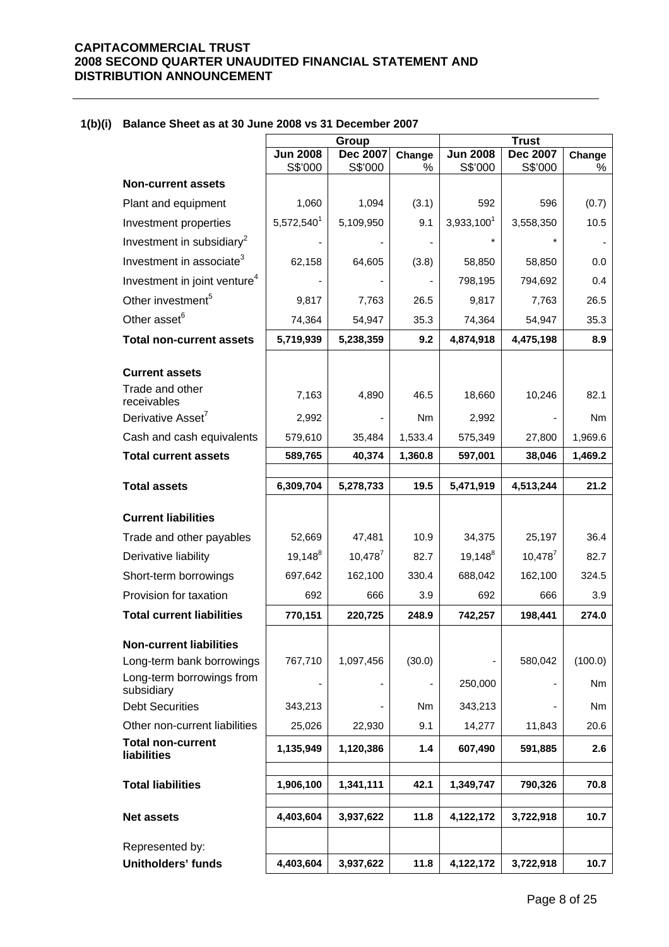|  |  |  |  | 1(b)(i) Balance Sheet as at 30 June 2008 vs 31 December 2007 |
|--|--|--|--|--------------------------------------------------------------|
|--|--|--|--|--------------------------------------------------------------|

|                                          | Group<br><b>Jun 2008</b> |                            |                | <b>Trust</b><br><b>Jun 2008</b><br><b>Dec 2007</b> |                          |             |  |
|------------------------------------------|--------------------------|----------------------------|----------------|----------------------------------------------------|--------------------------|-------------|--|
|                                          | S\$'000                  | <b>Dec 2007</b><br>S\$'000 | Change<br>$\%$ | S\$'000                                            | S\$'000                  | Change<br>% |  |
| <b>Non-current assets</b>                |                          |                            |                |                                                    |                          |             |  |
| Plant and equipment                      | 1,060                    | 1,094                      | (3.1)          | 592                                                | 596                      | (0.7)       |  |
| Investment properties                    | 5,572,540 <sup>1</sup>   | 5,109,950                  | 9.1            | 3,933,100 <sup>1</sup>                             | 3,558,350                | 10.5        |  |
| Investment in subsidiary <sup>2</sup>    |                          |                            |                |                                                    |                          |             |  |
| Investment in associate <sup>3</sup>     | 62,158                   | 64,605                     | (3.8)          | 58,850                                             | 58,850                   | 0.0         |  |
| Investment in joint venture <sup>4</sup> |                          |                            |                | 798,195                                            | 794,692                  | 0.4         |  |
| Other investment <sup>5</sup>            | 9,817                    | 7,763                      | 26.5           | 9,817                                              | 7,763                    | 26.5        |  |
| Other asset <sup>6</sup>                 | 74,364                   | 54,947                     | 35.3           | 74,364                                             | 54,947                   | 35.3        |  |
| <b>Total non-current assets</b>          | 5,719,939                | 5,238,359                  | 9.2            | 4,874,918                                          | 4,475,198                | 8.9         |  |
| <b>Current assets</b>                    |                          |                            |                |                                                    |                          |             |  |
| Trade and other<br>receivables           | 7,163                    | 4,890                      | 46.5           | 18,660                                             | 10,246                   | 82.1        |  |
| Derivative Asset <sup>7</sup>            | 2,992                    |                            | Nm             | 2,992                                              |                          | Nm          |  |
| Cash and cash equivalents                | 579,610                  | 35,484                     | 1,533.4        | 575,349                                            | 27,800                   | 1,969.6     |  |
| <b>Total current assets</b>              | 589,765                  | 40,374                     | 1,360.8        | 597,001                                            | 38,046                   | 1,469.2     |  |
| <b>Total assets</b>                      | 6,309,704                | 5,278,733                  | 19.5           | 5,471,919                                          | 4,513,244                | 21.2        |  |
|                                          |                          |                            |                |                                                    |                          |             |  |
| <b>Current liabilities</b>               |                          |                            |                |                                                    |                          |             |  |
| Trade and other payables                 | 52,669                   | 47,481                     | 10.9           | 34,375                                             | 25,197                   | 36.4        |  |
| Derivative liability                     | $19,148^8$               | $10,478^7$                 | 82.7           | $19,148^8$                                         | $10,478^7$               | 82.7        |  |
| Short-term borrowings                    | 697,642                  | 162,100                    | 330.4          | 688,042                                            | 162,100                  | 324.5       |  |
| Provision for taxation                   | 692                      | 666                        | 3.9            | 692                                                | 666                      | 3.9         |  |
| <b>Total current liabilities</b>         | 770,151                  | 220,725                    | 248.9          | 742,257                                            | 198,441                  | 274.0       |  |
| <b>Non-current liabilities</b>           |                          |                            |                |                                                    |                          |             |  |
| Long-term bank borrowings                | 767,710                  | 1,097,456                  | (30.0)         |                                                    | 580,042                  | (100.0)     |  |
| Long-term borrowings from<br>subsidiary  | -                        | $\overline{\phantom{0}}$   |                | 250,000                                            | $\overline{\phantom{a}}$ | Nm          |  |
| <b>Debt Securities</b>                   | 343,213                  | -                          | Nm             | 343,213                                            |                          | Nm          |  |
| Other non-current liabilities            | 25,026                   | 22,930                     | 9.1            | 14,277                                             | 11,843                   | 20.6        |  |
| <b>Total non-current</b><br>liabilities  | 1,135,949                | 1,120,386                  | 1.4            | 607,490                                            | 591,885                  | 2.6         |  |
| <b>Total liabilities</b>                 | 1,906,100                | 1,341,111                  | 42.1           | 1,349,747                                          | 790,326                  | 70.8        |  |
|                                          |                          |                            |                |                                                    |                          |             |  |
| <b>Net assets</b>                        | 4,403,604                | 3,937,622                  | 11.8           | 4,122,172                                          | 3,722,918                | 10.7        |  |
| Represented by:                          |                          |                            |                |                                                    |                          |             |  |
| <b>Unitholders' funds</b>                | 4,403,604                | 3,937,622                  | 11.8           | 4,122,172                                          | 3,722,918                | 10.7        |  |
|                                          |                          |                            |                |                                                    |                          |             |  |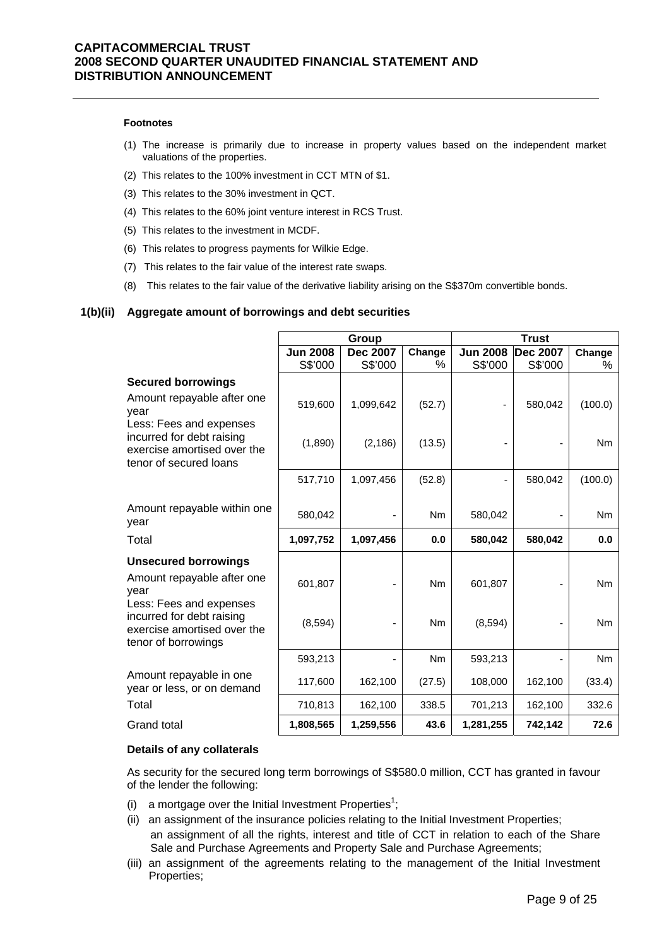#### **Footnotes**

- (1) The increase is primarily due to increase in property values based on the independent market valuations of the properties.
- (2) This relates to the 100% investment in CCT MTN of \$1.
- (3) This relates to the 30% investment in QCT.
- (4) This relates to the 60% joint venture interest in RCS Trust.
- (5) This relates to the investment in MCDF.
- (6) This relates to progress payments for Wilkie Edge.
- (7) This relates to the fair value of the interest rate swaps.
- (8) This relates to the fair value of the derivative liability arising on the S\$370m convertible bonds.

#### **1(b)(ii) Aggregate amount of borrowings and debt securities**

|                                                                                                            |                 | Group           |                | <b>Trust</b>    |                 |                |
|------------------------------------------------------------------------------------------------------------|-----------------|-----------------|----------------|-----------------|-----------------|----------------|
|                                                                                                            | <b>Jun 2008</b> | <b>Dec 2007</b> | Change<br>$\%$ | <b>Jun 2008</b> | <b>Dec 2007</b> | Change         |
|                                                                                                            | S\$'000         | S\$'000         |                | S\$'000         | S\$'000         | $\%$           |
| <b>Secured borrowings</b>                                                                                  |                 |                 |                |                 |                 |                |
| Amount repayable after one<br>year<br>Less: Fees and expenses                                              | 519,600         | 1,099,642       | (52.7)         |                 | 580,042         | (100.0)        |
| incurred for debt raising<br>exercise amortised over the<br>tenor of secured loans                         | (1,890)         | (2, 186)        | (13.5)         |                 |                 | <b>Nm</b>      |
|                                                                                                            | 517,710         | 1,097,456       | (52.8)         |                 | 580,042         | (100.0)        |
| Amount repayable within one<br>year                                                                        | 580,042         |                 | Nm             | 580,042         |                 | Nm             |
| Total                                                                                                      | 1,097,752       | 1,097,456       | 0.0            | 580,042         | 580,042         | 0.0            |
| <b>Unsecured borrowings</b>                                                                                |                 |                 |                |                 |                 |                |
| Amount repayable after one<br>vear                                                                         | 601,807         |                 | <b>Nm</b>      | 601,807         |                 | N <sub>m</sub> |
| Less: Fees and expenses<br>incurred for debt raising<br>exercise amortised over the<br>tenor of borrowings | (8,594)         |                 | <b>Nm</b>      | (8,594)         |                 | Nm             |
|                                                                                                            | 593,213         |                 | N <sub>m</sub> | 593,213         |                 | N <sub>m</sub> |
| Amount repayable in one<br>year or less, or on demand                                                      | 117,600         | 162,100         | (27.5)         | 108,000         | 162,100         | (33.4)         |
| Total                                                                                                      | 710,813         | 162,100         | 338.5          | 701,213         | 162,100         | 332.6          |
| <b>Grand total</b>                                                                                         | 1,808,565       | 1,259,556       | 43.6           | 1,281,255       | 742,142         | 72.6           |

#### **Details of any collaterals**

As security for the secured long term borrowings of S\$580.0 million, CCT has granted in favour of the lender the following:

- (i) a mortgage over the Initial Investment Properties<sup>1</sup>;
- (ii) an assignment of the insurance policies relating to the Initial Investment Properties; an assignment of all the rights, interest and title of CCT in relation to each of the Share Sale and Purchase Agreements and Property Sale and Purchase Agreements;
- (iii) an assignment of the agreements relating to the management of the Initial Investment Properties;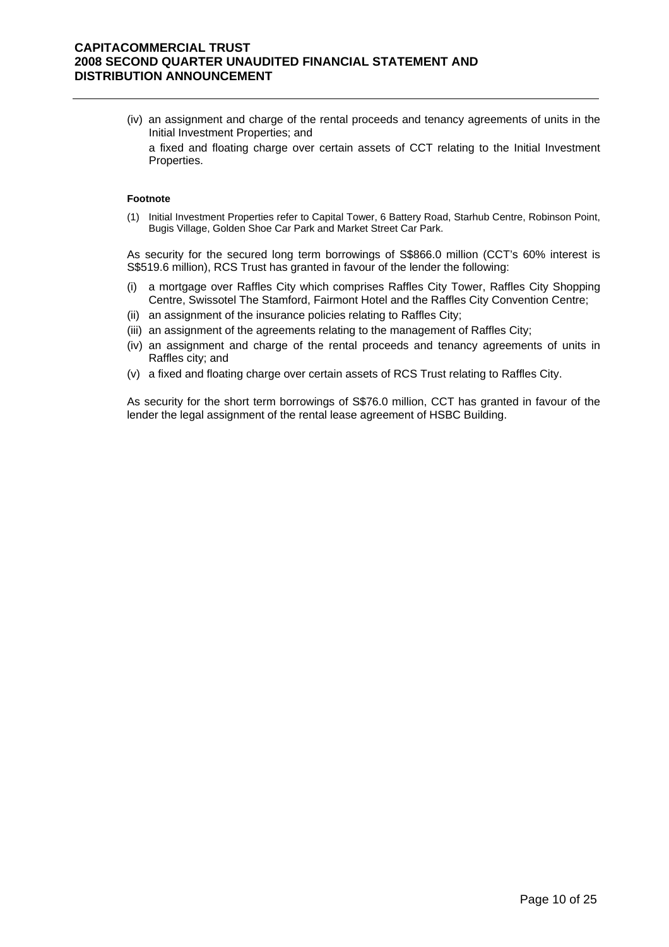- (iv) an assignment and charge of the rental proceeds and tenancy agreements of units in the Initial Investment Properties; and
	- a fixed and floating charge over certain assets of CCT relating to the Initial Investment Properties.

#### **Footnote**

(1) Initial Investment Properties refer to Capital Tower, 6 Battery Road, Starhub Centre, Robinson Point, Bugis Village, Golden Shoe Car Park and Market Street Car Park.

As security for the secured long term borrowings of S\$866.0 million (CCT's 60% interest is S\$519.6 million), RCS Trust has granted in favour of the lender the following:

- (i) a mortgage over Raffles City which comprises Raffles City Tower, Raffles City Shopping Centre, Swissotel The Stamford, Fairmont Hotel and the Raffles City Convention Centre;
- (ii) an assignment of the insurance policies relating to Raffles City;
- (iii) an assignment of the agreements relating to the management of Raffles City;
- (iv) an assignment and charge of the rental proceeds and tenancy agreements of units in Raffles city; and
- (v) a fixed and floating charge over certain assets of RCS Trust relating to Raffles City.

As security for the short term borrowings of S\$76.0 million, CCT has granted in favour of the lender the legal assignment of the rental lease agreement of HSBC Building.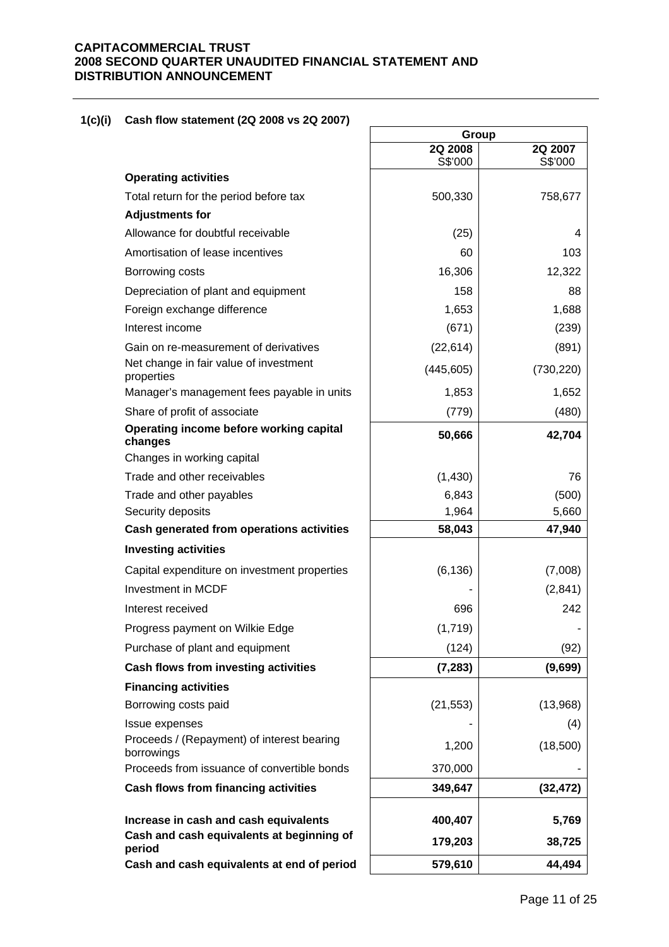# **1(c)(i) Cash flow statement (2Q 2008 vs 2Q 2007)**

|                                                          | Group              |                    |  |
|----------------------------------------------------------|--------------------|--------------------|--|
|                                                          | 2Q 2008<br>S\$'000 | 2Q 2007<br>S\$'000 |  |
| <b>Operating activities</b>                              |                    |                    |  |
| Total return for the period before tax                   | 500,330            | 758,677            |  |
| <b>Adjustments for</b>                                   |                    |                    |  |
| Allowance for doubtful receivable                        | (25)               | 4                  |  |
| Amortisation of lease incentives                         | 60                 | 103                |  |
| Borrowing costs                                          | 16,306             | 12,322             |  |
| Depreciation of plant and equipment                      | 158                | 88                 |  |
| Foreign exchange difference                              | 1,653              | 1,688              |  |
| Interest income                                          | (671)              | (239)              |  |
| Gain on re-measurement of derivatives                    | (22, 614)          | (891)              |  |
| Net change in fair value of investment<br>properties     | (445, 605)         | (730, 220)         |  |
| Manager's management fees payable in units               | 1,853              | 1,652              |  |
| Share of profit of associate                             | (779)              | (480)              |  |
| Operating income before working capital<br>changes       | 50,666             | 42,704             |  |
| Changes in working capital                               |                    |                    |  |
| Trade and other receivables                              | (1,430)            | 76                 |  |
| Trade and other payables                                 | 6,843              | (500)              |  |
| Security deposits                                        | 1,964              | 5,660              |  |
| Cash generated from operations activities                | 58,043             | 47,940             |  |
| <b>Investing activities</b>                              |                    |                    |  |
| Capital expenditure on investment properties             | (6, 136)           | (7,008)            |  |
| Investment in MCDF                                       |                    | (2,841)            |  |
| Interest received                                        | 696                | 242                |  |
| Progress payment on Wilkie Edge                          | (1,719)            |                    |  |
| Purchase of plant and equipment                          | (124)              | (92)               |  |
| Cash flows from investing activities                     | (7, 283)           | (9,699)            |  |
| <b>Financing activities</b>                              |                    |                    |  |
| Borrowing costs paid                                     | (21, 553)          | (13,968)           |  |
| Issue expenses                                           |                    | (4)                |  |
| Proceeds / (Repayment) of interest bearing<br>borrowings | 1,200              | (18,500)           |  |
| Proceeds from issuance of convertible bonds              | 370,000            |                    |  |
| <b>Cash flows from financing activities</b>              | 349,647            | (32, 472)          |  |
| Increase in cash and cash equivalents                    | 400,407            | 5,769              |  |
| Cash and cash equivalents at beginning of<br>period      | 179,203            | 38,725             |  |
| Cash and cash equivalents at end of period               | 579,610            | 44,494             |  |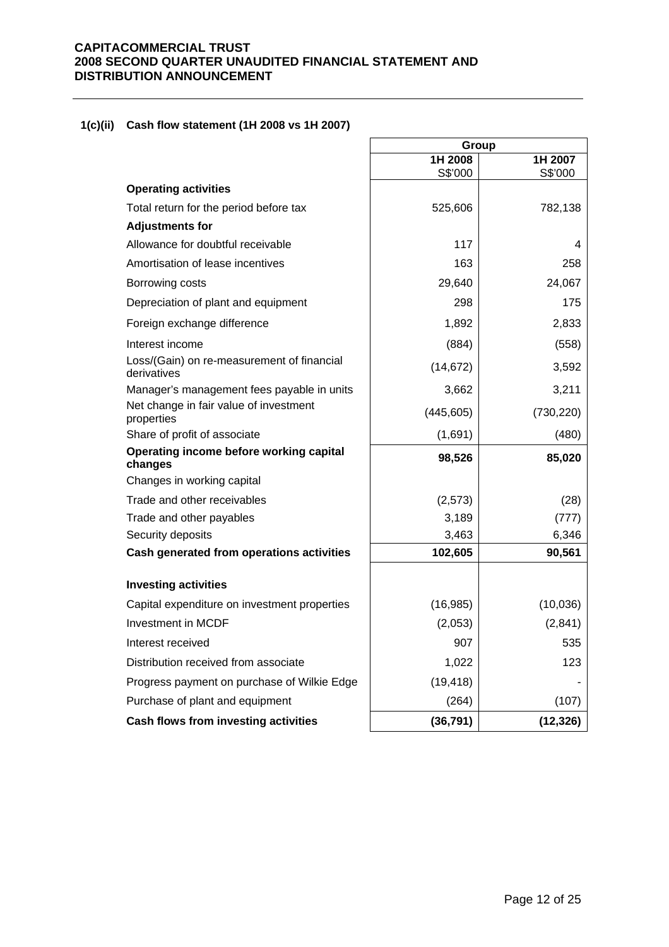# **1(c)(ii) Cash flow statement (1H 2008 vs 1H 2007)**

|                                                           | Group              |                    |  |
|-----------------------------------------------------------|--------------------|--------------------|--|
|                                                           | 1H 2008<br>S\$'000 | 1H 2007<br>S\$'000 |  |
| <b>Operating activities</b>                               |                    |                    |  |
| Total return for the period before tax                    | 525,606            | 782,138            |  |
| <b>Adjustments for</b>                                    |                    |                    |  |
| Allowance for doubtful receivable                         | 117                | 4                  |  |
| Amortisation of lease incentives                          | 163                | 258                |  |
| Borrowing costs                                           | 29,640             | 24,067             |  |
| Depreciation of plant and equipment                       | 298                | 175                |  |
| Foreign exchange difference                               | 1,892              | 2,833              |  |
| Interest income                                           | (884)              | (558)              |  |
| Loss/(Gain) on re-measurement of financial<br>derivatives | (14, 672)          | 3,592              |  |
| Manager's management fees payable in units                | 3,662              | 3,211              |  |
| Net change in fair value of investment<br>properties      | (445, 605)         | (730, 220)         |  |
| Share of profit of associate                              | (1,691)            | (480)              |  |
| Operating income before working capital<br>changes        | 98,526             | 85,020             |  |
| Changes in working capital                                |                    |                    |  |
| Trade and other receivables                               | (2, 573)           | (28)               |  |
| Trade and other payables                                  | 3,189              | (777)              |  |
| Security deposits                                         | 3,463              | 6,346              |  |
| Cash generated from operations activities                 | 102,605            | 90,561             |  |
| <b>Investing activities</b>                               |                    |                    |  |
| Capital expenditure on investment properties              | (16, 985)          | (10,036)           |  |
| <b>Investment in MCDF</b>                                 | (2,053)            | (2,841)            |  |
| Interest received                                         | 907                | 535                |  |
| Distribution received from associate                      | 1,022              | 123                |  |
| Progress payment on purchase of Wilkie Edge               | (19, 418)          |                    |  |
| Purchase of plant and equipment                           | (264)              | (107)              |  |
| Cash flows from investing activities                      | (36, 791)          | (12, 326)          |  |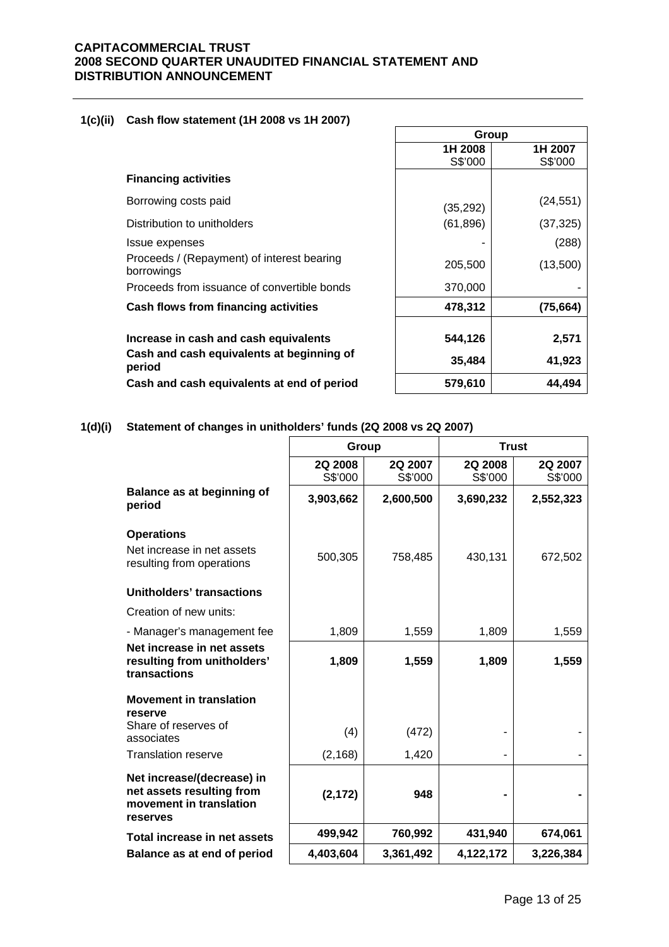# **1(c)(ii) Cash flow statement (1H 2008 vs 1H 2007)**

|                                                          | Group     |           |
|----------------------------------------------------------|-----------|-----------|
|                                                          | 1H 2008   | 1H 2007   |
|                                                          | S\$'000   | S\$'000   |
| <b>Financing activities</b>                              |           |           |
| Borrowing costs paid                                     | (35, 292) | (24, 551) |
| Distribution to unitholders                              | (61, 896) | (37, 325) |
| Issue expenses                                           |           | (288)     |
| Proceeds / (Repayment) of interest bearing<br>borrowings | 205,500   | (13,500)  |
| Proceeds from issuance of convertible bonds              | 370,000   |           |
| Cash flows from financing activities                     | 478,312   | (75, 664) |
| Increase in cash and cash equivalents                    | 544,126   | 2,571     |
| Cash and cash equivalents at beginning of<br>period      | 35,484    | 41,923    |
| Cash and cash equivalents at end of period               | 579,610   | 44,494    |

# **1(d)(i) Statement of changes in unitholders' funds (2Q 2008 vs 2Q 2007)**

|                                                                                                | Group              |                    | <b>Trust</b>             |                    |
|------------------------------------------------------------------------------------------------|--------------------|--------------------|--------------------------|--------------------|
|                                                                                                | 2Q 2008<br>S\$'000 | 2Q 2007<br>S\$'000 | 2Q 2008<br>S\$'000       | 2Q 2007<br>S\$'000 |
| Balance as at beginning of<br>period                                                           | 3,903,662          | 2,600,500          | 3,690,232                | 2,552,323          |
| <b>Operations</b>                                                                              |                    |                    |                          |                    |
| Net increase in net assets<br>resulting from operations                                        | 500,305            | 758,485            | 430,131                  | 672,502            |
| Unitholders' transactions                                                                      |                    |                    |                          |                    |
| Creation of new units:                                                                         |                    |                    |                          |                    |
| - Manager's management fee                                                                     | 1,809              | 1,559              | 1,809                    | 1,559              |
| Net increase in net assets<br>resulting from unitholders'<br>transactions                      | 1,809              | 1,559              | 1,809                    | 1,559              |
| <b>Movement in translation</b><br>reserve                                                      |                    |                    |                          |                    |
| Share of reserves of<br>associates                                                             | (4)                | (472)              |                          |                    |
| <b>Translation reserve</b>                                                                     | (2, 168)           | 1,420              | $\overline{\phantom{a}}$ |                    |
| Net increase/(decrease) in<br>net assets resulting from<br>movement in translation<br>reserves | (2, 172)           | 948                |                          |                    |
| Total increase in net assets                                                                   | 499,942            | 760,992            | 431,940                  | 674,061            |
| Balance as at end of period                                                                    | 4,403,604          | 3,361,492          | 4,122,172                | 3,226,384          |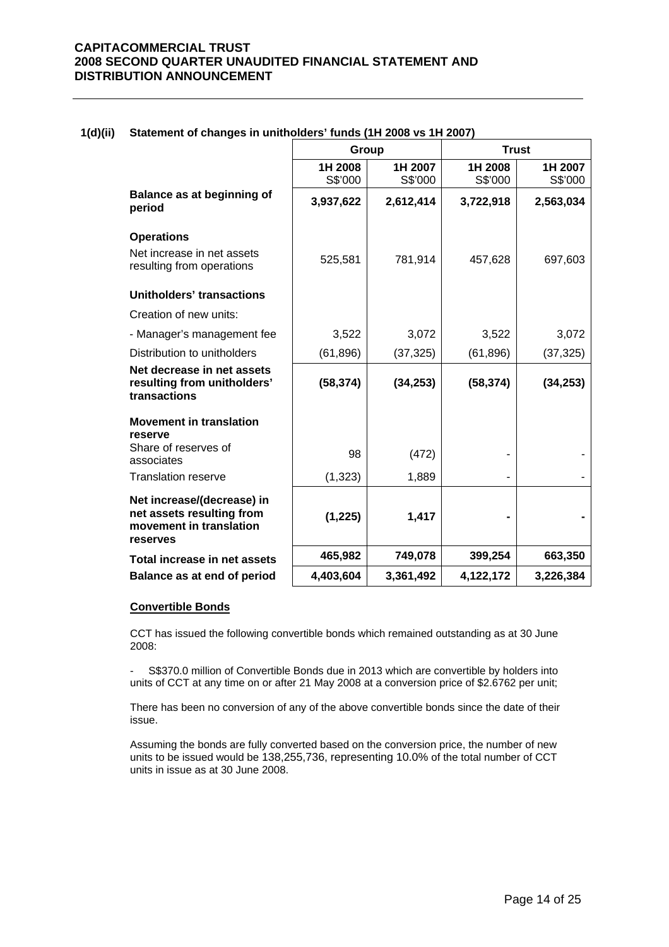|                                                                                                | Group              |                    | <b>Trust</b>       |                    |
|------------------------------------------------------------------------------------------------|--------------------|--------------------|--------------------|--------------------|
|                                                                                                | 1H 2008<br>S\$'000 | 1H 2007<br>S\$'000 | 1H 2008<br>S\$'000 | 1H 2007<br>S\$'000 |
| <b>Balance as at beginning of</b><br>period                                                    | 3,937,622          | 2,612,414          | 3,722,918          | 2,563,034          |
| <b>Operations</b>                                                                              |                    |                    |                    |                    |
| Net increase in net assets<br>resulting from operations                                        | 525,581            | 781,914            | 457,628            | 697,603            |
| Unitholders' transactions                                                                      |                    |                    |                    |                    |
| Creation of new units:                                                                         |                    |                    |                    |                    |
| - Manager's management fee                                                                     | 3,522              | 3,072              | 3,522              | 3,072              |
| Distribution to unitholders                                                                    | (61, 896)          | (37, 325)          | (61, 896)          | (37, 325)          |
| Net decrease in net assets<br>resulting from unitholders'<br>transactions                      | (58, 374)          | (34, 253)          | (58, 374)          | (34, 253)          |
| <b>Movement in translation</b><br>reserve                                                      |                    |                    |                    |                    |
| Share of reserves of<br>associates                                                             | 98                 | (472)              |                    |                    |
| <b>Translation reserve</b>                                                                     | (1, 323)           | 1,889              |                    |                    |
| Net increase/(decrease) in<br>net assets resulting from<br>movement in translation<br>reserves | (1, 225)           | 1,417              |                    |                    |
| Total increase in net assets                                                                   | 465,982            | 749,078            | 399,254            | 663,350            |
| Balance as at end of period                                                                    | 4,403,604          | 3,361,492          | 4,122,172          | 3,226,384          |

#### **1(d)(ii) Statement of changes in unitholders' funds (1H 2008 vs 1H 2007)**

#### **Convertible Bonds**

CCT has issued the following convertible bonds which remained outstanding as at 30 June 2008:

- S\$370.0 million of Convertible Bonds due in 2013 which are convertible by holders into units of CCT at any time on or after 21 May 2008 at a conversion price of \$2.6762 per unit;

There has been no conversion of any of the above convertible bonds since the date of their issue.

Assuming the bonds are fully converted based on the conversion price, the number of new units to be issued would be 138,255,736, representing 10.0% of the total number of CCT units in issue as at 30 June 2008.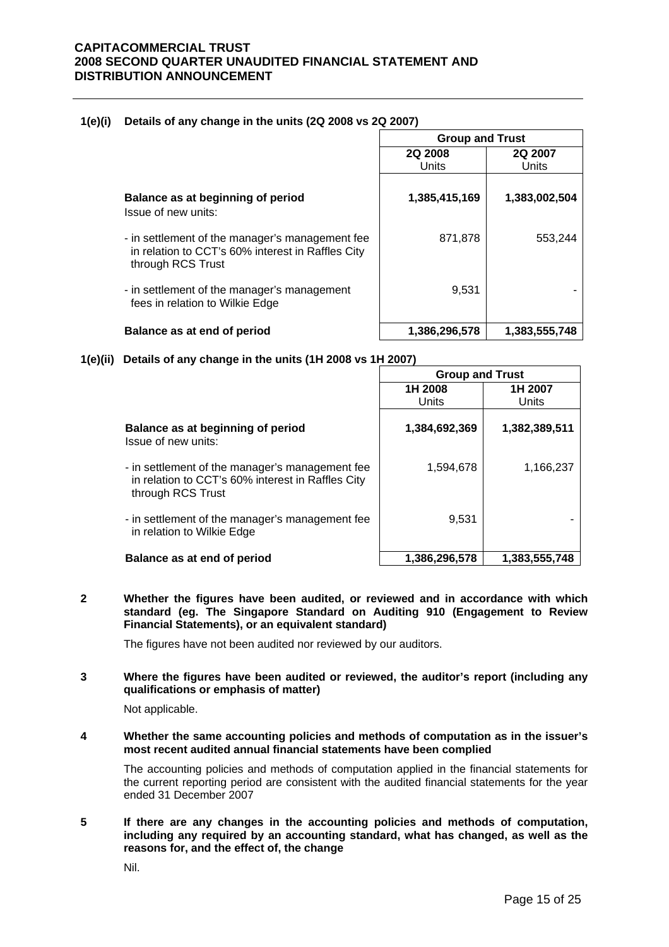#### **1(e)(i) Details of any change in the units (2Q 2008 vs 2Q 2007)**

|                                                                                                                           | <b>Group and Trust</b>  |                  |  |
|---------------------------------------------------------------------------------------------------------------------------|-------------------------|------------------|--|
|                                                                                                                           | <b>2Q 2008</b><br>Units | 2Q 2007<br>Units |  |
| Balance as at beginning of period<br>Issue of new units:                                                                  | 1,385,415,169           | 1,383,002,504    |  |
| - in settlement of the manager's management fee<br>in relation to CCT's 60% interest in Raffles City<br>through RCS Trust | 871,878                 | 553,244          |  |
| - in settlement of the manager's management<br>fees in relation to Wilkie Edge                                            | 9,531                   |                  |  |
| Balance as at end of period                                                                                               | 1,386,296,578           | 1,383,555,748    |  |

#### **1(e)(ii) Details of any change in the units (1H 2008 vs 1H 2007)**

|                                                                                                                           | <b>Group and Trust</b> |                  |  |
|---------------------------------------------------------------------------------------------------------------------------|------------------------|------------------|--|
|                                                                                                                           | 1H 2008<br>Units       | 1H 2007<br>Units |  |
| Balance as at beginning of period<br>Issue of new units:                                                                  | 1,384,692,369          | 1,382,389,511    |  |
| - in settlement of the manager's management fee<br>in relation to CCT's 60% interest in Raffles City<br>through RCS Trust | 1,594,678              | 1,166,237        |  |
| - in settlement of the manager's management fee<br>in relation to Wilkie Edge                                             | 9,531                  |                  |  |
| Balance as at end of period                                                                                               | 1,386,296,578          | 1,383,555,748    |  |

**2 Whether the figures have been audited, or reviewed and in accordance with which standard (eg. The Singapore Standard on Auditing 910 (Engagement to Review Financial Statements), or an equivalent standard)** 

The figures have not been audited nor reviewed by our auditors.

#### **3 Where the figures have been audited or reviewed, the auditor's report (including any qualifications or emphasis of matter)**

Not applicable.

**4 Whether the same accounting policies and methods of computation as in the issuer's most recent audited annual financial statements have been complied** 

The accounting policies and methods of computation applied in the financial statements for the current reporting period are consistent with the audited financial statements for the year ended 31 December 2007

**5 If there are any changes in the accounting policies and methods of computation, including any required by an accounting standard, what has changed, as well as the reasons for, and the effect of, the change** 

Nil.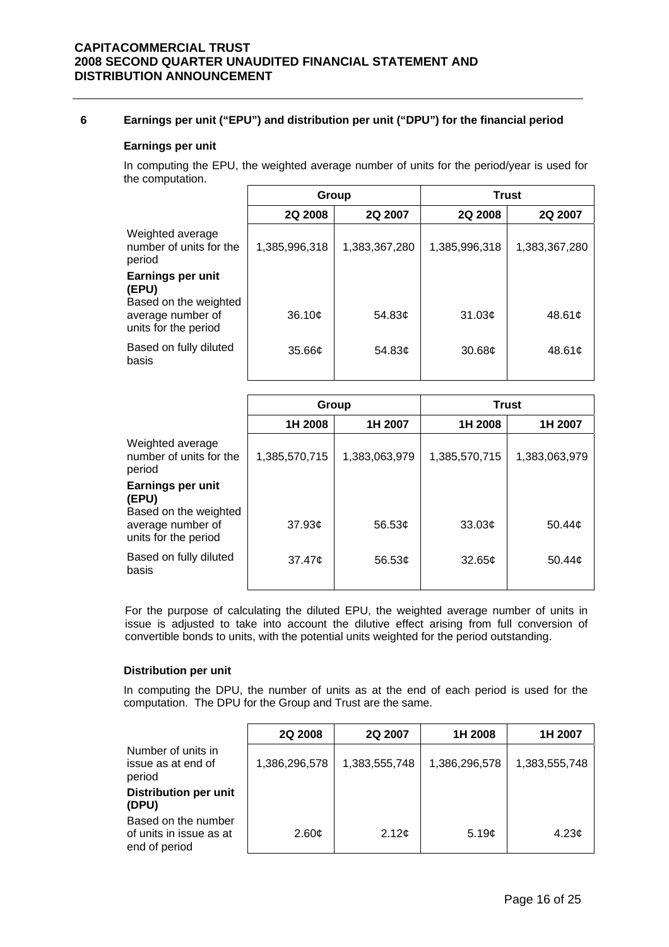# **6 Earnings per unit ("EPU") and distribution per unit ("DPU") for the financial period**

#### **Earnings per unit**

In computing the EPU, the weighted average number of units for the period/year is used for the computation.

|                                                            | Group         |                      | <b>Trust</b>       |               |
|------------------------------------------------------------|---------------|----------------------|--------------------|---------------|
|                                                            | 2Q 2008       | 2Q 2007              | 2Q 2008            | 2Q 2007       |
| Weighted average<br>number of units for the<br>period      | 1,385,996,318 | 1,383,367,280        | 1,385,996,318      | 1,383,367,280 |
| <b>Earnings per unit</b><br>(EPU)<br>Based on the weighted |               |                      |                    |               |
| average number of<br>units for the period                  | 36.10¢        | 54.83 $\phi$         | 31.03¢             | 48.61c        |
| Based on fully diluted<br>basis                            | 35.66c        | 54.83 $\mathfrak{c}$ | 30.68 <sub>c</sub> | 48.61c        |

|                                                                    | Group              |                    | <b>Trust</b>       |                    |
|--------------------------------------------------------------------|--------------------|--------------------|--------------------|--------------------|
|                                                                    | 1H 2008            | 1H 2007            | 1H 2008            | 1H 2007            |
| Weighted average<br>number of units for the<br>period              | 1,385,570,715      | 1,383,063,979      | 1,385,570,715      | 1,383,063,979      |
| Earnings per unit<br>(EPU)                                         |                    |                    |                    |                    |
| Based on the weighted<br>average number of<br>units for the period | 37.93 <sub>¢</sub> | 56.53 $\phi$       | 33.03¢             | 50.44 $\phi$       |
| Based on fully diluted<br>basis                                    | $37.47\mathcal{L}$ | 56.53 <sub>c</sub> | 32.65 <sub>c</sub> | 50.44 <sub>c</sub> |

For the purpose of calculating the diluted EPU, the weighted average number of units in issue is adjusted to take into account the dilutive effect arising from full conversion of convertible bonds to units, with the potential units weighted for the period outstanding.

#### **Distribution per unit**

In computing the DPU, the number of units as at the end of each period is used for the computation. The DPU for the Group and Trust are the same.

|                                                                 | 2Q 2008       | 2Q 2007       | 1H 2008       | 1H 2007       |
|-----------------------------------------------------------------|---------------|---------------|---------------|---------------|
| Number of units in<br>issue as at end of<br>period              | 1,386,296,578 | 1,383,555,748 | 1,386,296,578 | 1,383,555,748 |
| <b>Distribution per unit</b><br>(DPU)                           |               |               |               |               |
| Based on the number<br>of units in issue as at<br>end of period | 2.60¢         | 2.12¢         | 5.19¢         | 4.23 $\phi$   |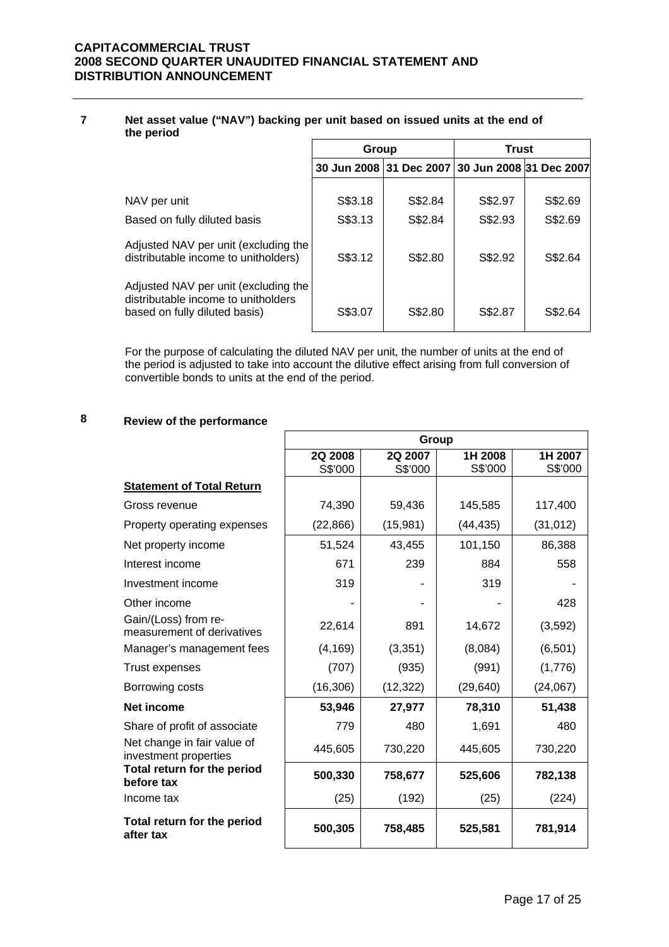#### **7 Net asset value ("NAV") backing per unit based on issued units at the end of the period**

|                                                                                                              | Group              |                         | <b>Trust</b>            |                    |
|--------------------------------------------------------------------------------------------------------------|--------------------|-------------------------|-------------------------|--------------------|
|                                                                                                              |                    | 30 Jun 2008 31 Dec 2007 | 30 Jun 2008 31 Dec 2007 |                    |
| NAV per unit<br>Based on fully diluted basis                                                                 | S\$3.18<br>S\$3.13 | S\$2.84<br>S\$2.84      | S\$2.97<br>S\$2.93      | S\$2.69<br>S\$2.69 |
| Adjusted NAV per unit (excluding the<br>distributable income to unitholders)                                 | S\$3.12            | S\$2.80                 | S\$2.92                 | S\$2.64            |
| Adjusted NAV per unit (excluding the<br>distributable income to unitholders<br>based on fully diluted basis) | S\$3.07            | S\$2.80                 | S\$2.87                 | S\$2.64            |

For the purpose of calculating the diluted NAV per unit, the number of units at the end of the period is adjusted to take into account the dilutive effect arising from full conversion of convertible bonds to units at the end of the period.

# **8 Review of the performance**

|                                                      |                           | Group              |                    |                    |
|------------------------------------------------------|---------------------------|--------------------|--------------------|--------------------|
|                                                      | <b>2Q 2008</b><br>S\$'000 | 2Q 2007<br>S\$'000 | 1H 2008<br>S\$'000 | 1H 2007<br>S\$'000 |
| <b>Statement of Total Return</b>                     |                           |                    |                    |                    |
| Gross revenue                                        | 74,390                    | 59,436             | 145,585            | 117,400            |
| Property operating expenses                          | (22, 866)                 | (15,981)           | (44, 435)          | (31, 012)          |
| Net property income                                  | 51,524                    | 43,455             | 101,150            | 86,388             |
| Interest income                                      | 671                       | 239                | 884                | 558                |
| Investment income                                    | 319                       |                    | 319                |                    |
| Other income                                         |                           |                    |                    | 428                |
| Gain/(Loss) from re-<br>measurement of derivatives   | 22,614                    | 891                | 14,672             | (3,592)            |
| Manager's management fees                            | (4, 169)                  | (3,351)            | (8,084)            | (6, 501)           |
| <b>Trust expenses</b>                                | (707)                     | (935)              | (991)              | (1,776)            |
| Borrowing costs                                      | (16, 306)                 | (12, 322)          | (29, 640)          | (24,067)           |
| Net income                                           | 53,946                    | 27,977             | 78,310             | 51,438             |
| Share of profit of associate                         | 779                       | 480                | 1,691              | 480                |
| Net change in fair value of<br>investment properties | 445,605                   | 730,220            | 445,605            | 730,220            |
| Total return for the period<br>before tax            | 500,330                   | 758,677            | 525,606            | 782,138            |
| Income tax                                           | (25)                      | (192)              | (25)               | (224)              |
| Total return for the period<br>after tax             | 500,305                   | 758,485            | 525,581            | 781,914            |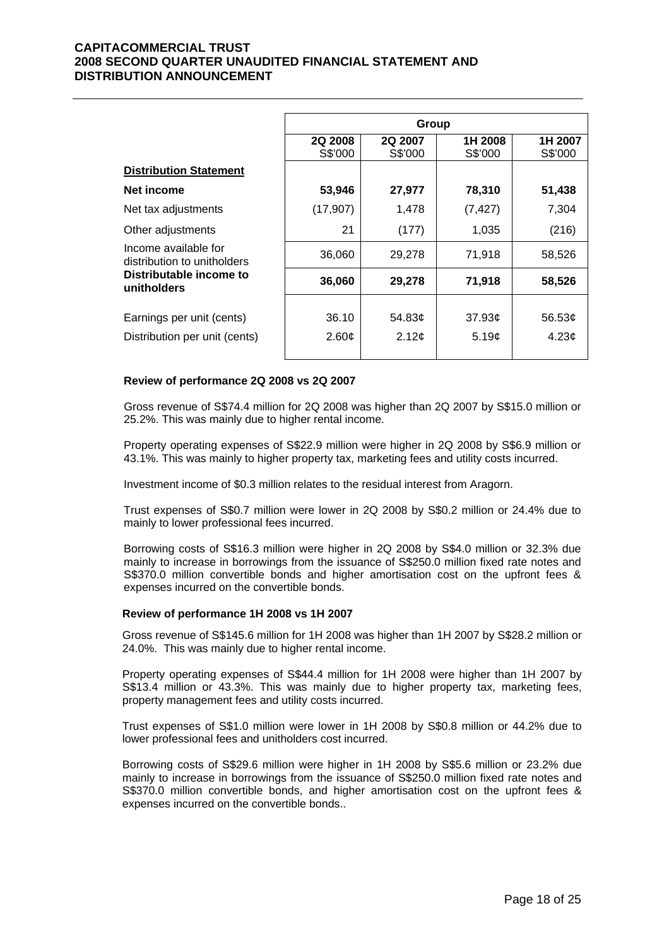|                                                     |                    | Group              |                    |                     |
|-----------------------------------------------------|--------------------|--------------------|--------------------|---------------------|
|                                                     | 2Q 2008<br>S\$'000 | 2Q 2007<br>S\$'000 | 1H 2008<br>S\$'000 | 1H 2007<br>S\$'000  |
| <b>Distribution Statement</b>                       |                    |                    |                    |                     |
| Net income                                          | 53,946             | 27,977             | 78,310             | 51,438              |
| Net tax adjustments                                 | (17, 907)          | 1,478              | (7, 427)           | 7,304               |
| Other adjustments                                   | 21                 | (177)              | 1,035              | (216)               |
| Income available for<br>distribution to unitholders | 36,060             | 29,278             | 71,918             | 58,526              |
| Distributable income to<br>unitholders              | 36,060             | 29,278             | 71,918             | 58,526              |
| Earnings per unit (cents)                           | 36.10              | 54.83¢             | 37.93c             | 56.53 $\mathfrak e$ |
| Distribution per unit (cents)                       | 2.60¢              | 2.12¢              | 5.19c              | 4.23 <sub>c</sub>   |
|                                                     |                    |                    |                    |                     |

#### **Review of performance 2Q 2008 vs 2Q 2007**

 Gross revenue of S\$74.4 million for 2Q 2008 was higher than 2Q 2007 by S\$15.0 million or 25.2%. This was mainly due to higher rental income.

Property operating expenses of S\$22.9 million were higher in 2Q 2008 by S\$6.9 million or 43.1%. This was mainly to higher property tax, marketing fees and utility costs incurred.

Investment income of \$0.3 million relates to the residual interest from Aragorn.

Trust expenses of S\$0.7 million were lower in 2Q 2008 by S\$0.2 million or 24.4% due to mainly to lower professional fees incurred.

Borrowing costs of S\$16.3 million were higher in 2Q 2008 by S\$4.0 million or 32.3% due mainly to increase in borrowings from the issuance of S\$250.0 million fixed rate notes and S\$370.0 million convertible bonds and higher amortisation cost on the upfront fees & expenses incurred on the convertible bonds.

#### **Review of performance 1H 2008 vs 1H 2007**

 Gross revenue of S\$145.6 million for 1H 2008 was higher than 1H 2007 by S\$28.2 million or 24.0%. This was mainly due to higher rental income.

Property operating expenses of S\$44.4 million for 1H 2008 were higher than 1H 2007 by S\$13.4 million or 43.3%. This was mainly due to higher property tax, marketing fees, property management fees and utility costs incurred.

Trust expenses of S\$1.0 million were lower in 1H 2008 by S\$0.8 million or 44.2% due to lower professional fees and unitholders cost incurred.

Borrowing costs of S\$29.6 million were higher in 1H 2008 by S\$5.6 million or 23.2% due mainly to increase in borrowings from the issuance of S\$250.0 million fixed rate notes and S\$370.0 million convertible bonds, and higher amortisation cost on the upfront fees & expenses incurred on the convertible bonds..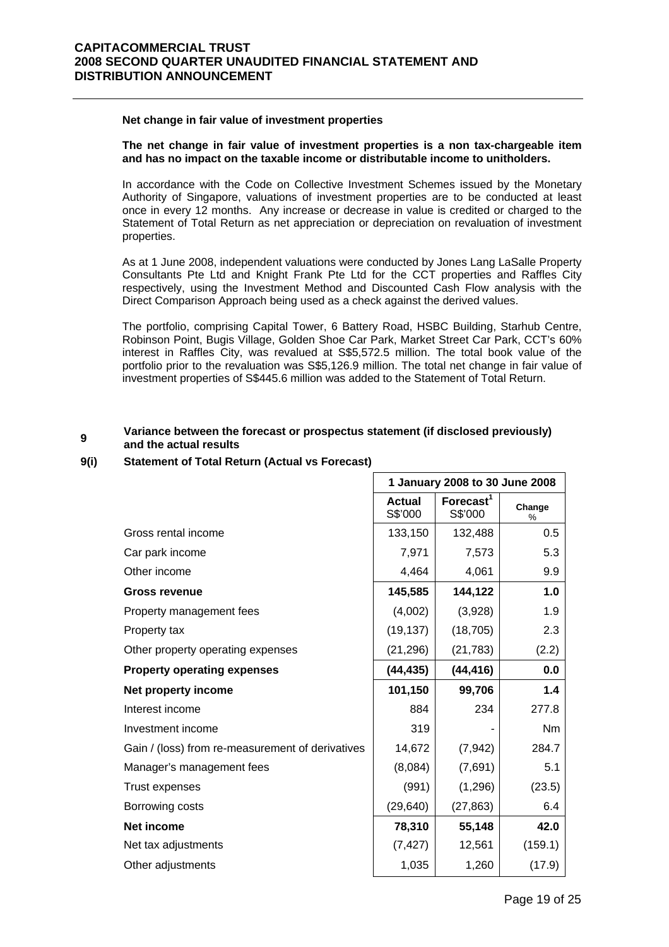#### **Net change in fair value of investment properties**

#### **The net change in fair value of investment properties is a non tax-chargeable item and has no impact on the taxable income or distributable income to unitholders.**

In accordance with the Code on Collective Investment Schemes issued by the Monetary Authority of Singapore, valuations of investment properties are to be conducted at least once in every 12 months. Any increase or decrease in value is credited or charged to the Statement of Total Return as net appreciation or depreciation on revaluation of investment properties.

As at 1 June 2008, independent valuations were conducted by Jones Lang LaSalle Property Consultants Pte Ltd and Knight Frank Pte Ltd for the CCT properties and Raffles City respectively, using the Investment Method and Discounted Cash Flow analysis with the Direct Comparison Approach being used as a check against the derived values.

The portfolio, comprising Capital Tower, 6 Battery Road, HSBC Building, Starhub Centre, Robinson Point, Bugis Village, Golden Shoe Car Park, Market Street Car Park, CCT's 60% interest in Raffles City, was revalued at S\$5,572.5 million. The total book value of the portfolio prior to the revaluation was S\$5,126.9 million. The total net change in fair value of investment properties of S\$445.6 million was added to the Statement of Total Return.

#### **<sup>9</sup> Variance between the forecast or prospectus statement (if disclosed previously) and the actual results**

#### **9(i) Statement of Total Return (Actual vs Forecast)**

|                                                  |                          | 1 January 2008 to 30 June 2008   |                |
|--------------------------------------------------|--------------------------|----------------------------------|----------------|
|                                                  | <b>Actual</b><br>S\$'000 | Forecast <sup>1</sup><br>S\$'000 | Change<br>%    |
| Gross rental income                              | 133,150                  | 132,488                          | 0.5            |
| Car park income                                  | 7,971                    | 7,573                            | 5.3            |
| Other income                                     | 4,464                    | 4,061                            | 9.9            |
| <b>Gross revenue</b>                             | 145,585                  | 144,122                          | 1.0            |
| Property management fees                         | (4,002)                  | (3,928)                          | 1.9            |
| Property tax                                     | (19, 137)                | (18, 705)                        | 2.3            |
| Other property operating expenses                | (21, 296)                | (21, 783)                        | (2.2)          |
| <b>Property operating expenses</b>               | (44, 435)                | (44, 416)                        | 0.0            |
| Net property income                              | 101,150                  | 99,706                           | 1.4            |
| Interest income                                  | 884                      | 234                              | 277.8          |
| Investment income                                | 319                      |                                  | N <sub>m</sub> |
| Gain / (loss) from re-measurement of derivatives | 14,672                   | (7, 942)                         | 284.7          |
| Manager's management fees                        | (8,084)                  | (7,691)                          | 5.1            |
| <b>Trust expenses</b>                            | (991)                    | (1, 296)                         | (23.5)         |
| Borrowing costs                                  | (29, 640)                | (27, 863)                        | 6.4            |
| Net income                                       | 78,310                   | 55,148                           | 42.0           |
| Net tax adjustments                              | (7, 427)                 | 12,561                           | (159.1)        |
| Other adjustments                                | 1,035                    | 1,260                            | (17.9)         |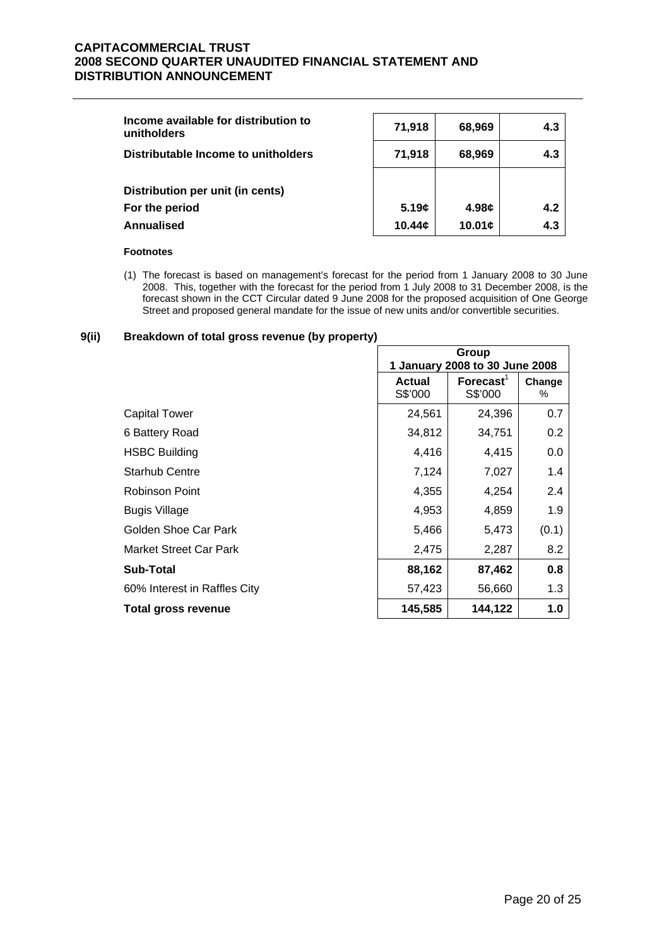| Income available for distribution to<br>unitholders | 71,918 | 68,969                       | 4.3 |
|-----------------------------------------------------|--------|------------------------------|-----|
| Distributable Income to unitholders                 | 71,918 | 68,969                       | 4.3 |
| Distribution per unit (in cents)                    |        |                              |     |
| For the period                                      | 5.19c  | 4.98 $\boldsymbol{\epsilon}$ | 4.2 |
| Annualised                                          | 10.44c | 10.01 <sub>¢</sub>           | 4.3 |

#### **Footnotes**

(1) The forecast is based on management's forecast for the period from 1 January 2008 to 30 June 2008. This, together with the forecast for the period from 1 July 2008 to 31 December 2008, is the forecast shown in the CCT Circular dated 9 June 2008 for the proposed acquisition of One George Street and proposed general mandate for the issue of new units and/or convertible securities.

# **9(ii) Breakdown of total gross revenue (by property)**

|                              | Group<br>1 January 2008 to 30 June 2008 |                         |                  |
|------------------------------|-----------------------------------------|-------------------------|------------------|
|                              | <b>Actual</b><br>S\$'000                | Forecast $1$<br>S\$'000 | Change<br>$\%$   |
| Capital Tower                | 24,561                                  | 24,396                  | 0.7              |
| 6 Battery Road               | 34,812                                  | 34,751                  | 0.2 <sub>0</sub> |
| <b>HSBC Building</b>         | 4,416                                   | 4,415                   | 0.0              |
| <b>Starhub Centre</b>        | 7,124                                   | 7,027                   | 1.4              |
| Robinson Point               | 4,355                                   | 4,254                   | 2.4              |
| <b>Bugis Village</b>         | 4,953                                   | 4,859                   | 1.9              |
| Golden Shoe Car Park         | 5,466                                   | 5,473                   | (0.1)            |
| Market Street Car Park       | 2,475                                   | 2,287                   | 8.2              |
| <b>Sub-Total</b>             | 88,162                                  | 87,462                  | 0.8              |
| 60% Interest in Raffles City | 57,423                                  | 56,660                  | 1.3              |
| <b>Total gross revenue</b>   | 145,585                                 | 144,122                 | 1.0              |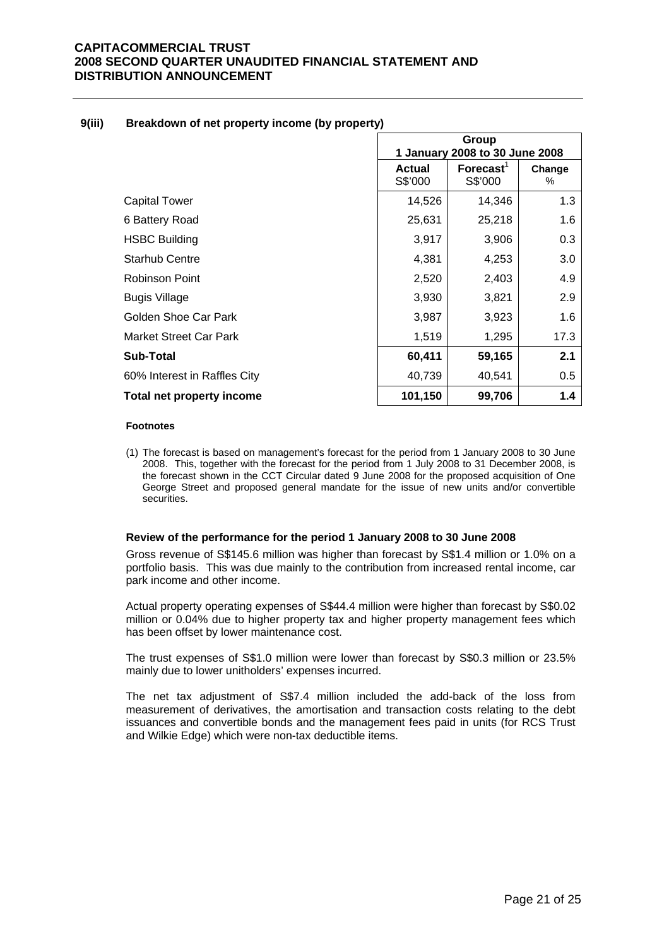|                                  |                          | Group<br>1 January 2008 to 30 June 2008     |             |
|----------------------------------|--------------------------|---------------------------------------------|-------------|
|                                  | <b>Actual</b><br>S\$'000 | $\mathsf{Forecast}^{\mathsf{T}}$<br>S\$'000 | Change<br>% |
| <b>Capital Tower</b>             | 14,526                   | 14,346                                      | 1.3         |
| 6 Battery Road                   | 25,631                   | 25,218                                      | 1.6         |
| <b>HSBC Building</b>             | 3,917                    | 3,906                                       | 0.3         |
| <b>Starhub Centre</b>            | 4,381                    | 4,253                                       | 3.0         |
| Robinson Point                   | 2,520                    | 2,403                                       | 4.9         |
| <b>Bugis Village</b>             | 3,930                    | 3,821                                       | 2.9         |
| Golden Shoe Car Park             | 3,987                    | 3,923                                       | 1.6         |
| <b>Market Street Car Park</b>    | 1,519                    | 1,295                                       | 17.3        |
| Sub-Total                        | 60,411                   | 59,165                                      | 2.1         |
| 60% Interest in Raffles City     | 40,739                   | 40,541                                      | 0.5         |
| <b>Total net property income</b> | 101,150                  | 99,706                                      | 1.4         |

#### **9(iii) Breakdown of net property income (by property)**

#### **Footnotes**

(1) The forecast is based on management's forecast for the period from 1 January 2008 to 30 June 2008. This, together with the forecast for the period from 1 July 2008 to 31 December 2008, is the forecast shown in the CCT Circular dated 9 June 2008 for the proposed acquisition of One George Street and proposed general mandate for the issue of new units and/or convertible securities.

#### **Review of the performance for the period 1 January 2008 to 30 June 2008**

 Gross revenue of S\$145.6 million was higher than forecast by S\$1.4 million or 1.0% on a portfolio basis. This was due mainly to the contribution from increased rental income, car park income and other income.

Actual property operating expenses of S\$44.4 million were higher than forecast by S\$0.02 million or 0.04% due to higher property tax and higher property management fees which has been offset by lower maintenance cost.

The trust expenses of S\$1.0 million were lower than forecast by S\$0.3 million or 23.5% mainly due to lower unitholders' expenses incurred.

The net tax adjustment of S\$7.4 million included the add-back of the loss from measurement of derivatives, the amortisation and transaction costs relating to the debt issuances and convertible bonds and the management fees paid in units (for RCS Trust and Wilkie Edge) which were non-tax deductible items.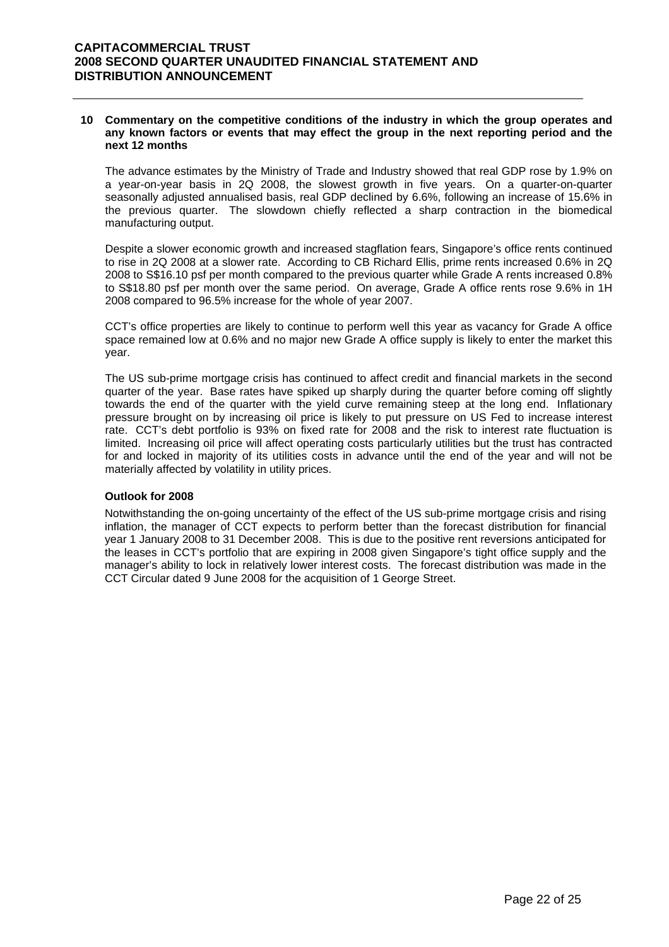#### **10 Commentary on the competitive conditions of the industry in which the group operates and any known factors or events that may effect the group in the next reporting period and the next 12 months**

 The advance estimates by the Ministry of Trade and Industry showed that real GDP rose by 1.9% on a year-on-year basis in 2Q 2008, the slowest growth in five years. On a quarter-on-quarter seasonally adjusted annualised basis, real GDP declined by 6.6%, following an increase of 15.6% in the previous quarter. The slowdown chiefly reflected a sharp contraction in the biomedical manufacturing output.

Despite a slower economic growth and increased stagflation fears, Singapore's office rents continued to rise in 2Q 2008 at a slower rate. According to CB Richard Ellis, prime rents increased 0.6% in 2Q 2008 to S\$16.10 psf per month compared to the previous quarter while Grade A rents increased 0.8% to S\$18.80 psf per month over the same period. On average, Grade A office rents rose 9.6% in 1H 2008 compared to 96.5% increase for the whole of year 2007.

CCT's office properties are likely to continue to perform well this year as vacancy for Grade A office space remained low at 0.6% and no major new Grade A office supply is likely to enter the market this year.

The US sub-prime mortgage crisis has continued to affect credit and financial markets in the second quarter of the year. Base rates have spiked up sharply during the quarter before coming off slightly towards the end of the quarter with the yield curve remaining steep at the long end. Inflationary pressure brought on by increasing oil price is likely to put pressure on US Fed to increase interest rate. CCT's debt portfolio is 93% on fixed rate for 2008 and the risk to interest rate fluctuation is limited. Increasing oil price will affect operating costs particularly utilities but the trust has contracted for and locked in majority of its utilities costs in advance until the end of the year and will not be materially affected by volatility in utility prices.

#### **Outlook for 2008**

Notwithstanding the on-going uncertainty of the effect of the US sub-prime mortgage crisis and rising inflation, the manager of CCT expects to perform better than the forecast distribution for financial year 1 January 2008 to 31 December 2008. This is due to the positive rent reversions anticipated for the leases in CCT's portfolio that are expiring in 2008 given Singapore's tight office supply and the manager's ability to lock in relatively lower interest costs. The forecast distribution was made in the CCT Circular dated 9 June 2008 for the acquisition of 1 George Street.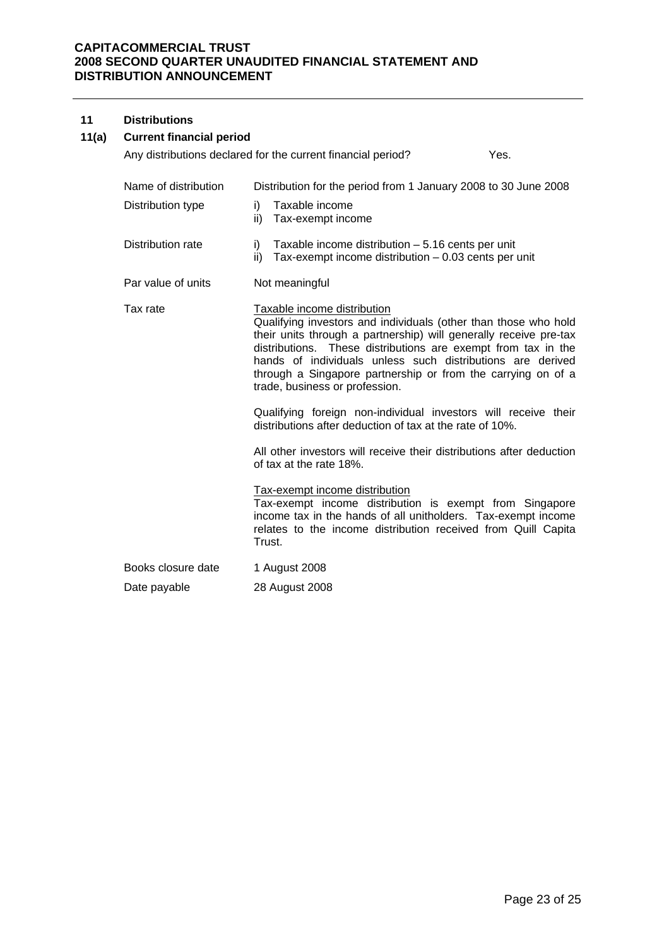#### **11 Distributions**

# **11(a) Current financial period**

|                      | Any distributions declared for the current financial period?<br>Yes.                                                                                                                                                                                                                                                                                                                                 |
|----------------------|------------------------------------------------------------------------------------------------------------------------------------------------------------------------------------------------------------------------------------------------------------------------------------------------------------------------------------------------------------------------------------------------------|
| Name of distribution | Distribution for the period from 1 January 2008 to 30 June 2008                                                                                                                                                                                                                                                                                                                                      |
| Distribution type    | Taxable income<br>i)<br>Tax-exempt income<br>ii)                                                                                                                                                                                                                                                                                                                                                     |
| Distribution rate    | Taxable income distribution $-5.16$ cents per unit<br>i)<br>Tax-exempt income distribution $-0.03$ cents per unit<br>ii)                                                                                                                                                                                                                                                                             |
| Par value of units   | Not meaningful                                                                                                                                                                                                                                                                                                                                                                                       |
| Tax rate             | Taxable income distribution<br>Qualifying investors and individuals (other than those who hold<br>their units through a partnership) will generally receive pre-tax<br>distributions. These distributions are exempt from tax in the<br>hands of individuals unless such distributions are derived<br>through a Singapore partnership or from the carrying on of a<br>trade, business or profession. |
|                      | Qualifying foreign non-individual investors will receive their<br>distributions after deduction of tax at the rate of 10%.                                                                                                                                                                                                                                                                           |
|                      | All other investors will receive their distributions after deduction<br>of tax at the rate 18%.                                                                                                                                                                                                                                                                                                      |
|                      | Tax-exempt income distribution<br>Tax-exempt income distribution is exempt from Singapore<br>income tax in the hands of all unitholders. Tax-exempt income<br>relates to the income distribution received from Quill Capita<br>Trust.                                                                                                                                                                |
| Books closure date   | 1 August 2008                                                                                                                                                                                                                                                                                                                                                                                        |
| Date payable         | 28 August 2008                                                                                                                                                                                                                                                                                                                                                                                       |
|                      |                                                                                                                                                                                                                                                                                                                                                                                                      |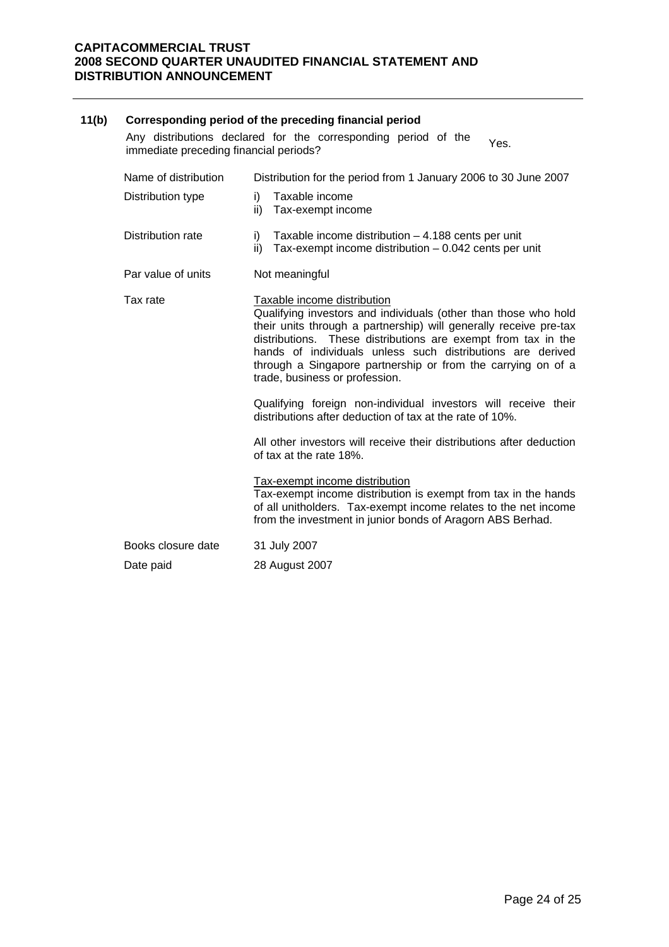| 11(b) | Corresponding period of the preceding financial period                                                           |                                                                                                                                                                                                                                                                                                                                                                                                      |  |  |  |
|-------|------------------------------------------------------------------------------------------------------------------|------------------------------------------------------------------------------------------------------------------------------------------------------------------------------------------------------------------------------------------------------------------------------------------------------------------------------------------------------------------------------------------------------|--|--|--|
|       | Any distributions declared for the corresponding period of the<br>Yes.<br>immediate preceding financial periods? |                                                                                                                                                                                                                                                                                                                                                                                                      |  |  |  |
|       | Name of distribution                                                                                             | Distribution for the period from 1 January 2006 to 30 June 2007                                                                                                                                                                                                                                                                                                                                      |  |  |  |
|       | Distribution type                                                                                                | Taxable income<br>i)<br>ii)<br>Tax-exempt income                                                                                                                                                                                                                                                                                                                                                     |  |  |  |
|       | <b>Distribution rate</b>                                                                                         | Taxable income distribution $-4.188$ cents per unit<br>i)<br>Tax-exempt income distribution $-0.042$ cents per unit<br>ii)                                                                                                                                                                                                                                                                           |  |  |  |
|       | Par value of units                                                                                               | Not meaningful                                                                                                                                                                                                                                                                                                                                                                                       |  |  |  |
|       | Tax rate                                                                                                         | Taxable income distribution<br>Qualifying investors and individuals (other than those who hold<br>their units through a partnership) will generally receive pre-tax<br>distributions. These distributions are exempt from tax in the<br>hands of individuals unless such distributions are derived<br>through a Singapore partnership or from the carrying on of a<br>trade, business or profession. |  |  |  |
|       |                                                                                                                  | Qualifying foreign non-individual investors will receive their<br>distributions after deduction of tax at the rate of 10%.                                                                                                                                                                                                                                                                           |  |  |  |
|       |                                                                                                                  | All other investors will receive their distributions after deduction<br>of tax at the rate 18%.                                                                                                                                                                                                                                                                                                      |  |  |  |
|       |                                                                                                                  | Tax-exempt income distribution<br>Tax-exempt income distribution is exempt from tax in the hands<br>of all unitholders. Tax-exempt income relates to the net income<br>from the investment in junior bonds of Aragorn ABS Berhad.                                                                                                                                                                    |  |  |  |
|       | Books closure date                                                                                               | 31 July 2007                                                                                                                                                                                                                                                                                                                                                                                         |  |  |  |
|       | Date paid                                                                                                        | 28 August 2007                                                                                                                                                                                                                                                                                                                                                                                       |  |  |  |